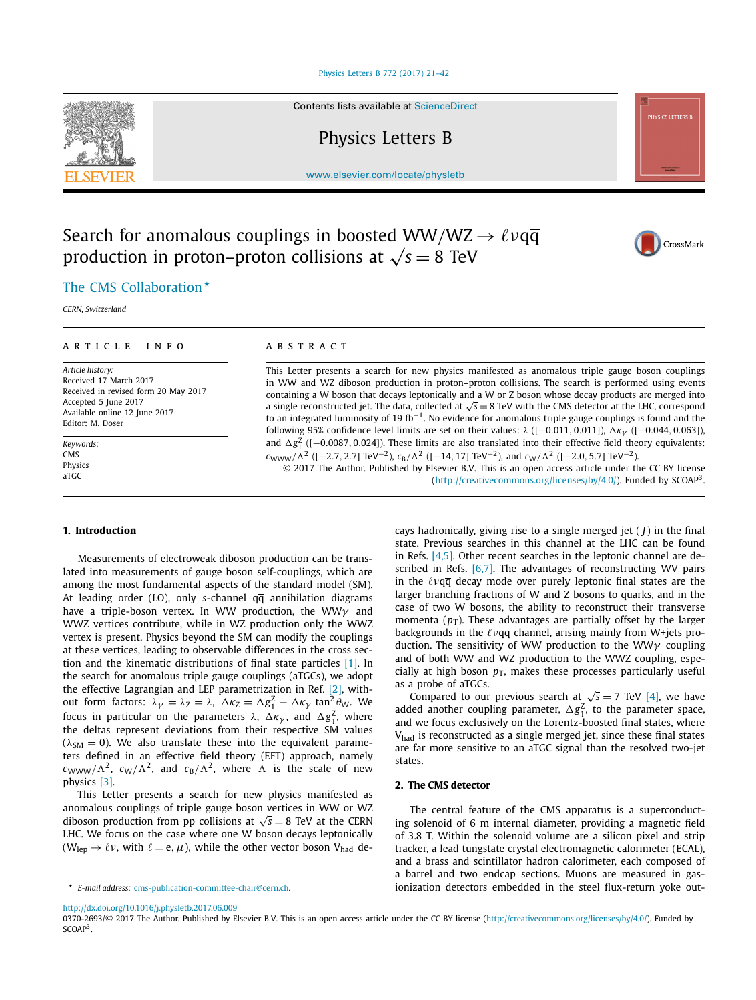#### [Physics Letters B 772 \(2017\) 21–42](http://dx.doi.org/10.1016/j.physletb.2017.06.009)

Contents lists available at [ScienceDirect](http://www.ScienceDirect.com/)

Physics Letters B

[www.elsevier.com/locate/physletb](http://www.elsevier.com/locate/physletb)



# Search for anomalous couplings in boosted WW/WZ → *ℓν*q $\overline{q}$ production in proton–proton collisions at  $\sqrt{s} = 8$  TeV



# The CMS [Collaboration](#page-6-0)\*

*CERN, Switzerland*

#### A R T I C L E I N F O A B S T R A C T

*Article history:* Received 17 March 2017 Received in revised form 20 May 2017 Accepted 5 June 2017 Available online 12 June 2017 Editor: M. Doser

*Keywords:* CMS **Physics** aTGC

This Letter presents a search for new physics manifested as anomalous triple gauge boson couplings in WW and WZ diboson production in proton–proton collisions. The search is performed using events containing a W boson that decays leptonically and a W or Z boson whose decay products are merged into <sup>a</sup> single reconstructed jet. The data, collected at <sup>√</sup>*<sup>s</sup>* <sup>=</sup> 8 TeV with the CMS detector at the LHC, correspond to an integrated luminosity of 19 fb<sup>-1</sup>. No evidence for anomalous triple gauge couplings is found and the following 95% confidence level limits are set on their values: *λ* ([−0*.*011*,* <sup>0</sup>*.*011]), *κγ* ([−0*.*044*,* <sup>0</sup>*.*063]), and  $\Delta g_1^Z$  ([−0*.*0087*,* 0*.024*]). These limits are also translated into their effective field theory equivalents:  $c_{WWW}/\Lambda^2$  ([−2*.*7*,* 2*.*7] TeV<sup>-2</sup>),  $c_B/\Lambda^2$  ([−14*,* 17] TeV<sup>-2</sup>), and  $c_W/\Lambda^2$  ([−2*.*0*,* 5*.7*] TeV<sup>-2</sup>).

© 2017 The Author. Published by Elsevier B.V. This is an open access article under the CC BY license [\(http://creativecommons.org/licenses/by/4.0/\)](http://creativecommons.org/licenses/by/4.0/). Funded by SCOAP3.

#### **1. Introduction**

Measurements of electroweak diboson production can be translated into measurements of gauge boson self-couplings, which are among the most fundamental aspects of the standard model (SM). At leading order (LO), only *s*-channel q<sub>q</sub> annihilation diagrams have a triple-boson vertex. In WW production, the WW*γ* and WWZ vertices contribute, while in WZ production only the WWZ vertex is present. Physics beyond the SM can modify the couplings at these vertices, leading to observable differences in the cross section and the kinematic distributions of final state particles [\[1\].](#page-5-0) In the search for anomalous triple gauge couplings (aTGCs), we adopt the effective Lagrangian and LEP parametrization in Ref. [\[2\],](#page-5-0) without form factors:  $\lambda_\gamma = \lambda_Z = \lambda$ ,  $\Delta \kappa_Z = \Delta g_1^Z - \Delta \kappa_\gamma$  tan<sup>2</sup> θ<sub>W</sub>. We focus in particular on the parameters  $\lambda$ ,  $\Delta \kappa_{\gamma}$ , and  $\Delta g_1^Z$ , where the deltas represent deviations from their respective SM values  $(\lambda_{\rm SM} = 0)$ . We also translate these into the equivalent parameters defined in an effective field theory (EFT) approach, namely *c*<sub>WWW</sub>/ $\Lambda^2$ , *c*<sub>W</sub>/ $\Lambda^2$ , and *c*<sub>B</sub>/ $\Lambda^2$ , where  $\Lambda$  is the scale of new physics [\[3\].](#page-5-0)

This Letter presents a search for new physics manifested as anomalous couplings of triple gauge boson vertices in WW or WZ diboson production from pp collisions at  $\sqrt{s} = 8$  TeV at the CERN LHC. We focus on the case where one W boson decays leptonically  $(W_{\text{lep}} \rightarrow \ell \nu$ , with  $\ell = e, \mu$ ), while the other vector boson V<sub>had</sub> decays hadronically, giving rise to a single merged jet ( *J*) in the final state. Previous searches in this channel at the LHC can be found in Refs. [\[4,5\].](#page-5-0) Other recent searches in the leptonic channel are described in Refs. [\[6,7\].](#page-5-0) The advantages of reconstructing WV pairs in the  $\ell \nu q \overline{q}$  decay mode over purely leptonic final states are the larger branching fractions of W and Z bosons to quarks, and in the case of two W bosons, the ability to reconstruct their transverse momenta  $(p_T)$ . These advantages are partially offset by the larger backgrounds in the  $\ell \nu q \overline{q}$  channel, arising mainly from W+jets production. The sensitivity of WW production to the WW*γ* coupling and of both WW and WZ production to the WWZ coupling, especially at high boson  $p<sub>T</sub>$ , makes these processes particularly useful as a probe of aTGCs.

Compared to our previous search at  $\sqrt{s} = 7$  TeV [\[4\],](#page-5-0) we have added another coupling parameter,  $\Delta g_1^Z$ , to the parameter space, and we focus exclusively on the Lorentz-boosted final states, where Vhad is reconstructed as a single merged jet, since these final states are far more sensitive to an aTGC signal than the resolved two-jet states.

#### **2. The CMS detector**

The central feature of the CMS apparatus is a superconducting solenoid of 6 m internal diameter, providing a magnetic field of 3.8 T. Within the solenoid volume are a silicon pixel and strip tracker, a lead tungstate crystal electromagnetic calorimeter (ECAL), and a brass and scintillator hadron calorimeter, each composed of a barrel and two endcap sections. Muons are measured in gasionization detectors embedded in the steel flux-return yoke out-

*E-mail address:* [cms-publication-committee-chair@cern.ch](mailto:cms-publication-committee-chair@cern.ch).

<http://dx.doi.org/10.1016/j.physletb.2017.06.009>

<sup>0370-2693/© 2017</sup> The Author. Published by Elsevier B.V. This is an open access article under the CC BY license [\(http://creativecommons.org/licenses/by/4.0/](http://creativecommons.org/licenses/by/4.0/)). Funded by SCOAP<sup>3</sup>.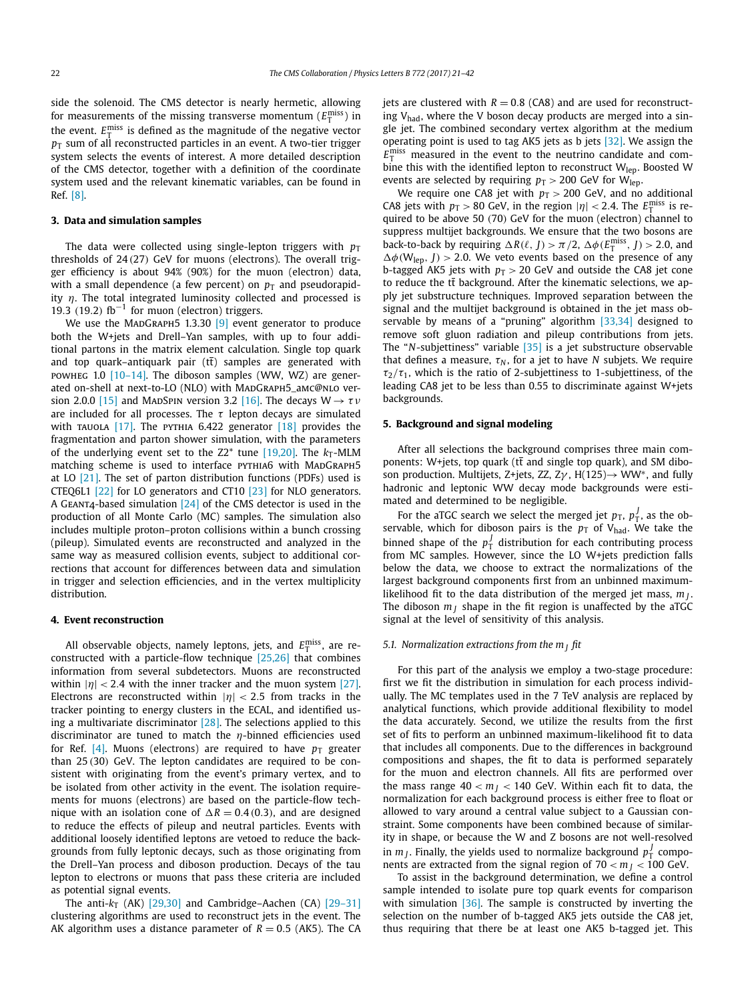side the solenoid. The CMS detector is nearly hermetic, allowing for measurements of the missing transverse momentum ( $E_{\rm T}^{\rm miss}$ ) in the event.  $E_{\text{T}}^{\text{miss}}$  is defined as the magnitude of the negative vector  $p_T$  sum of all reconstructed particles in an event. A two-tier trigger system selects the events of interest. A more detailed description of the CMS detector, together with a definition of the coordinate system used and the relevant kinematic variables, can be found in Ref. [\[8\].](#page-5-0)

#### **3. Data and simulation samples**

The data were collected using single-lepton triggers with  $p_T$ thresholds of 24 *(*27*)* GeV for muons (electrons). The overall trigger efficiency is about 94% (90%) for the muon (electron) data, with a small dependence (a few percent) on  $p<sub>T</sub>$  and pseudorapidity *η*. The total integrated luminosity collected and processed is 19*.*3 *(*19*.*2*)* fb−<sup>1</sup> for muon (electron) triggers.

We use the MADGRAPH5 1.3.30  $[9]$  event generator to produce both the W+jets and Drell–Yan samples, with up to four additional partons in the matrix element calculation. Single top quark and top quark–antiquark pair  $(t\bar{t})$  samples are generated with POWHEG 1.0  $[10-14]$ . The diboson samples (WW, WZ) are generated on-shell at next-to-LO (NLO) with MADGRAPH5\_aMC@NLO ver-sion 2.0.0 [\[15\]](#page-5-0) and MADSPIN version 3.2 [\[16\].](#page-5-0) The decays  $W \rightarrow \tau \nu$ are included for all processes. The *τ* lepton decays are simulated with TAUOLA  $[17]$ . The PYTHIA 6.422 generator  $[18]$  provides the fragmentation and parton shower simulation, with the parameters of the underlying event set to the  $Z2^*$  tune [\[19,20\].](#page-5-0) The  $k_T$ -MLM matching scheme is used to interface PYTHIA6 with MADGRAPH5 at LO [\[21\].](#page-5-0) The set of parton distribution functions (PDFs) used is CTEQ6L1 [\[22\]](#page-5-0) for LO generators and CT10 [\[23\]](#page-5-0) for NLO generators. A GEANT4-based simulation  $[24]$  of the CMS detector is used in the production of all Monte Carlo (MC) samples. The simulation also includes multiple proton–proton collisions within a bunch crossing (pileup). Simulated events are reconstructed and analyzed in the same way as measured collision events, subject to additional corrections that account for differences between data and simulation in trigger and selection efficiencies, and in the vertex multiplicity distribution.

#### **4. Event reconstruction**

All observable objects, namely leptons, jets, and  $E_{\rm T}^{\rm miss}$ , are reconstructed with a particle-flow technique [\[25,26\]](#page-5-0) that combines information from several subdetectors. Muons are reconstructed within  $|\eta|$  < 2.4 with the inner tracker and the muon system [\[27\].](#page-5-0) Electrons are reconstructed within  $|\eta|$  < 2.5 from tracks in the tracker pointing to energy clusters in the ECAL, and identified using a multivariate discriminator  $[28]$ . The selections applied to this discriminator are tuned to match the *η*-binned efficiencies used for Ref. [\[4\].](#page-5-0) Muons (electrons) are required to have  $p_T$  greater than 25 *(*30*)* GeV. The lepton candidates are required to be consistent with originating from the event's primary vertex, and to be isolated from other activity in the event. The isolation requirements for muons (electrons) are based on the particle-flow technique with an isolation cone of  $\Delta R = 0.4$  (0.3), and are designed to reduce the effects of pileup and neutral particles. Events with additional loosely identified leptons are vetoed to reduce the backgrounds from fully leptonic decays, such as those originating from the Drell–Yan process and diboson production. Decays of the tau lepton to electrons or muons that pass these criteria are included as potential signal events.

The anti- $k_T$  (AK)  $[29,30]$  and Cambridge–Aachen (CA)  $[29-31]$ clustering algorithms are used to reconstruct jets in the event. The AK algorithm uses a distance parameter of  $R = 0.5$  (AK5). The CA jets are clustered with  $R = 0.8$  (CA8) and are used for reconstructing  $V_{\text{had}}$ , where the V boson decay products are merged into a single jet. The combined secondary vertex algorithm at the medium operating point is used to tag AK5 jets as b jets [\[32\].](#page-5-0) We assign the  $E_{\text{T}}^{\text{miss}}$  measured in the event to the neutrino candidate and combine this with the identified lepton to reconstruct  $W_{\text{lep}}$ . Boosted W events are selected by requiring  $p_T > 200$  GeV for W<sub>lep</sub>.

We require one CA8 jet with  $p<sub>T</sub> > 200$  GeV, and no additional CA8 jets with  $p_T > 80$  GeV, in the region  $|\eta| < 2.4$ . The  $E_T^{\text{miss}}$  is required to be above 50 *(*70*)* GeV for the muon (electron) channel to suppress multijet backgrounds. We ensure that the two bosons are back-to-back by requiring  $\Delta R(\ell, J) > \pi/2$ ,  $\Delta \phi(E_T^{\text{miss}}, J) > 2.0$ , and  $\Delta\phi$ (W<sub>lep</sub>, *J*) > 2.0. We veto events based on the presence of any b-tagged AK5 jets with  $p_T > 20$  GeV and outside the CA8 jet cone to reduce the tt background. After the kinematic selections, we apply jet substructure techniques. Improved separation between the signal and the multijet background is obtained in the jet mass observable by means of a "pruning" algorithm [\[33,34\]](#page-5-0) designed to remove soft gluon radiation and pileup contributions from jets. The "*N*-subjettiness" variable [\[35\]](#page-5-0) is a jet substructure observable that defines a measure,  $\tau_N$ , for a jet to have *N* subjets. We require  $\tau_2/\tau_1$ , which is the ratio of 2-subjettiness to 1-subjettiness, of the leading CA8 jet to be less than 0.55 to discriminate against W+jets backgrounds.

#### **5. Background and signal modeling**

After all selections the background comprises three main components: W+jets, top quark ( $t\bar{t}$  and single top quark), and SM diboson production. Multijets, Z+jets, ZZ, <sup>Z</sup>*γ* , H(125)→ WW∗, and fully hadronic and leptonic WW decay mode backgrounds were estimated and determined to be negligible.

For the aTGC search we select the merged jet  $p_{\text{T}}$ ,  $p_{\text{T}}^{\, J}$ , as the observable, which for diboson pairs is the  $p<sub>T</sub>$  of V<sub>had</sub>. We take the binned shape of the  $p_T^J$  distribution for each contributing process from MC samples. However, since the LO W+jets prediction falls below the data, we choose to extract the normalizations of the largest background components first from an unbinned maximumlikelihood fit to the data distribution of the merged jet mass,  $m<sub>I</sub>$ . The diboson  $m<sub>l</sub>$  shape in the fit region is unaffected by the aTGC signal at the level of sensitivity of this analysis.

#### *5.1. Normalization extractions from the m <sup>J</sup> fit*

For this part of the analysis we employ a two-stage procedure: first we fit the distribution in simulation for each process individually. The MC templates used in the 7 TeV analysis are replaced by analytical functions, which provide additional flexibility to model the data accurately. Second, we utilize the results from the first set of fits to perform an unbinned maximum-likelihood fit to data that includes all components. Due to the differences in background compositions and shapes, the fit to data is performed separately for the muon and electron channels. All fits are performed over the mass range  $40 < m<sub>l</sub> < 140$  GeV. Within each fit to data, the normalization for each background process is either free to float or allowed to vary around a central value subject to a Gaussian constraint. Some components have been combined because of similarity in shape, or because the W and Z bosons are not well-resolved in  $m_j$ . Finally, the yields used to normalize background  $p_T^j$  components are extracted from the signal region of  $70 < m<sub>l</sub> < 100$  GeV.

To assist in the background determination, we define a control sample intended to isolate pure top quark events for comparison with simulation [\[36\].](#page-5-0) The sample is constructed by inverting the selection on the number of b-tagged AK5 jets outside the CA8 jet, thus requiring that there be at least one AK5 b-tagged jet. This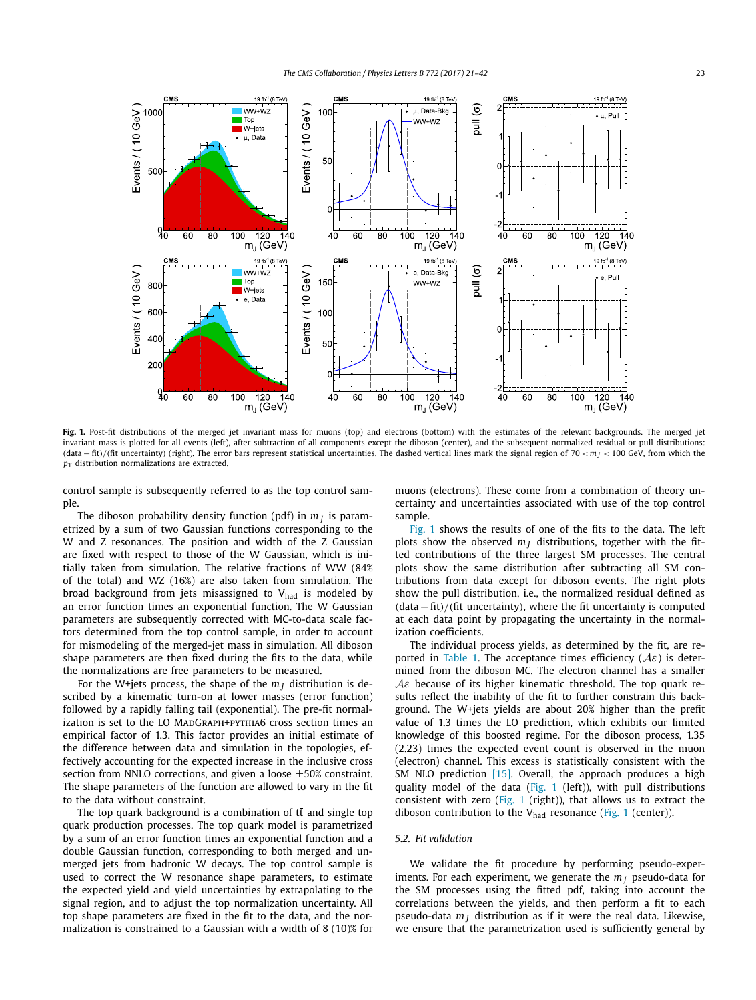

Fig. 1. Post-fit distributions of the merged jet invariant mass for muons (top) and electrons (bottom) with the estimates of the relevant backgrounds. The merged jet invariant mass is plotted for all events (left), after subtraction of all components except the diboson (center), and the subsequent normalized residual or pull distributions: (data - fit)/(fit uncertainty) (right). The error bars represent statistical uncertainties. The dashed vertical lines mark the signal region of 70 <  $m_I$  < 100 GeV, from which the  $p_T$  distribution normalizations are extracted.

control sample is subsequently referred to as the top control sample.

The diboson probability density function (pdf) in  $m_l$  is parametrized by a sum of two Gaussian functions corresponding to the W and Z resonances. The position and width of the Z Gaussian are fixed with respect to those of the W Gaussian, which is initially taken from simulation. The relative fractions of WW (84% of the total) and WZ (16%) are also taken from simulation. The broad background from jets misassigned to  $V_{\text{had}}$  is modeled by an error function times an exponential function. The W Gaussian parameters are subsequently corrected with MC-to-data scale factors determined from the top control sample, in order to account for mismodeling of the merged-jet mass in simulation. All diboson shape parameters are then fixed during the fits to the data, while the normalizations are free parameters to be measured.

For the W+jets process, the shape of the  $m<sub>J</sub>$  distribution is described by a kinematic turn-on at lower masses (error function) followed by a rapidly falling tail (exponential). The pre-fit normalization is set to the LO MADGRAPH+PYTHIA6 cross section times an empirical factor of 1.3. This factor provides an initial estimate of the difference between data and simulation in the topologies, effectively accounting for the expected increase in the inclusive cross section from NNLO corrections, and given a loose  $\pm 50\%$  constraint. The shape parameters of the function are allowed to vary in the fit to the data without constraint.

The top quark background is a combination of tt and single top quark production processes. The top quark model is parametrized by a sum of an error function times an exponential function and a double Gaussian function, corresponding to both merged and unmerged jets from hadronic W decays. The top control sample is used to correct the W resonance shape parameters, to estimate the expected yield and yield uncertainties by extrapolating to the signal region, and to adjust the top normalization uncertainty. All top shape parameters are fixed in the fit to the data, and the normalization is constrained to a Gaussian with a width of 8 (10)% for muons (electrons). These come from a combination of theory uncertainty and uncertainties associated with use of the top control sample.

Fig. 1 shows the results of one of the fits to the data. The left plots show the observed  $m<sub>I</sub>$  distributions, together with the fitted contributions of the three largest SM processes. The central plots show the same distribution after subtracting all SM contributions from data except for diboson events. The right plots show the pull distribution, i.e., the normalized residual defined as *(*data−fit*)/(*fit uncertainty*)*, where the fit uncertainty is computed at each data point by propagating the uncertainty in the normalization coefficients.

The individual process yields, as determined by the fit, are reported in [Table 1.](#page-3-0) The acceptance times efficiency (A*ε*) is determined from the diboson MC. The electron channel has a smaller A*ε* because of its higher kinematic threshold. The top quark results reflect the inability of the fit to further constrain this background. The W+jets yields are about 20% higher than the prefit value of 1.3 times the LO prediction, which exhibits our limited knowledge of this boosted regime. For the diboson process, 1.35 (2.23) times the expected event count is observed in the muon (electron) channel. This excess is statistically consistent with the SM NLO prediction [\[15\].](#page-5-0) Overall, the approach produces a high quality model of the data (Fig. 1 (left)), with pull distributions consistent with zero (Fig. 1 (right)), that allows us to extract the diboson contribution to the  $V_{\text{had}}$  resonance (Fig. 1 (center)).

#### *5.2. Fit validation*

We validate the fit procedure by performing pseudo-experiments. For each experiment, we generate the  $m<sub>I</sub>$  pseudo-data for the SM processes using the fitted pdf, taking into account the correlations between the yields, and then perform a fit to each pseudo-data  $m<sub>J</sub>$  distribution as if it were the real data. Likewise, we ensure that the parametrization used is sufficiently general by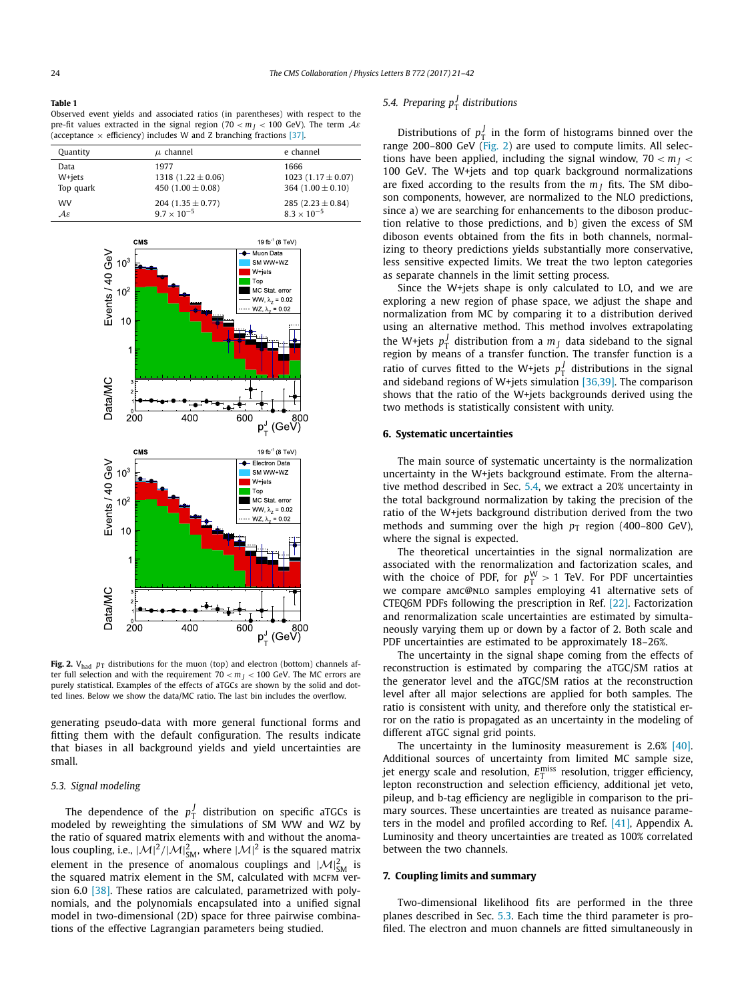<span id="page-3-0"></span>

Observed event yields and associated ratios (in parentheses) with respect to the pre-fit values extracted in the signal region (70  $< m<sub>I</sub> < 100$  GeV). The term  $A\epsilon$ (acceptance  $\times$  efficiency) includes W and Z branching fractions [\[37\].](#page-5-0)

| Quantity       | $\mu$ channel          | e channel              |
|----------------|------------------------|------------------------|
| Data           | 1977                   | 1666                   |
| W+jets         | 1318 $(1.22 \pm 0.06)$ | 1023 $(1.17 \pm 0.07)$ |
| Top quark      | 450 $(1.00 \pm 0.08)$  | 364 $(1.00 \pm 0.10)$  |
| <b>WV</b>      | 204 $(1.35 \pm 0.77)$  | 285 (2.23 $\pm$ 0.84)  |
| $A\varepsilon$ | $9.7 \times 10^{-5}$   | $8.3 \times 10^{-5}$   |



**Fig. 2.**  $V_{\text{had}}$   $p_T$  distributions for the muon (top) and electron (bottom) channels after full selection and with the requirement  $70 < m<sub>I</sub> < 100$  GeV. The MC errors are purely statistical. Examples of the effects of aTGCs are shown by the solid and dotted lines. Below we show the data/MC ratio. The last bin includes the overflow.

generating pseudo-data with more general functional forms and fitting them with the default configuration. The results indicate that biases in all background yields and yield uncertainties are small.

#### *5.3. Signal modeling*

The dependence of the  $p_{\text{T}}^{J}$  distribution on specific aTGCs is modeled by reweighting the simulations of SM WW and WZ by the ratio of squared matrix elements with and without the anomalous coupling, i.e.,  $|\mathcal{M}|^2 / |\mathcal{M}|^2_{\rm SM}$ , where  $|\mathcal{M}|^2$  is the squared matrix element in the presence of anomalous couplings and  $|M|_{SM}^2$  is the squared matrix element in the SM, calculated with MCFM version 6.0 [\[38\].](#page-5-0) These ratios are calculated, parametrized with polynomials, and the polynomials encapsulated into a unified signal model in two-dimensional (2D) space for three pairwise combinations of the effective Lagrangian parameters being studied.

# *5.4.* Preparing  $p_T^J$  distributions

Distributions of  $p_T^J$  in the form of histograms binned over the range 200–800 GeV (Fig. 2) are used to compute limits. All selections have been applied, including the signal window,  $70 < m<sub>I</sub>$ 100 GeV. The W+jets and top quark background normalizations are fixed according to the results from the  $m<sub>l</sub>$  fits. The SM diboson components, however, are normalized to the NLO predictions, since a) we are searching for enhancements to the diboson production relative to those predictions, and b) given the excess of SM diboson events obtained from the fits in both channels, normalizing to theory predictions yields substantially more conservative, less sensitive expected limits. We treat the two lepton categories as separate channels in the limit setting process.

Since the W+jets shape is only calculated to LO, and we are exploring a new region of phase space, we adjust the shape and normalization from MC by comparing it to a distribution derived using an alternative method. This method involves extrapolating the W+jets  $p_T^J$  distribution from a  $m_J$  data sideband to the signal region by means of a transfer function. The transfer function is a ratio of curves fitted to the W+jets  $p_T^J$  distributions in the signal and sideband regions of W+jets simulation [\[36,39\].](#page-5-0) The comparison shows that the ratio of the W+jets backgrounds derived using the two methods is statistically consistent with unity.

#### **6. Systematic uncertainties**

The main source of systematic uncertainty is the normalization uncertainty in the W+jets background estimate. From the alternative method described in Sec. 5.4, we extract a 20% uncertainty in the total background normalization by taking the precision of the ratio of the W+jets background distribution derived from the two methods and summing over the high  $p_T$  region (400–800 GeV), where the signal is expected.

The theoretical uncertainties in the signal normalization are associated with the renormalization and factorization scales, and with the choice of PDF, for  $p_T^W > 1$  TeV. For PDF uncertainties we compare amc@nlo samples employing 41 alternative sets of CTEQ6M PDFs following the prescription in Ref. [\[22\].](#page-5-0) Factorization and renormalization scale uncertainties are estimated by simultaneously varying them up or down by a factor of 2. Both scale and PDF uncertainties are estimated to be approximately 18–26%.

The uncertainty in the signal shape coming from the effects of reconstruction is estimated by comparing the aTGC/SM ratios at the generator level and the aTGC/SM ratios at the reconstruction level after all major selections are applied for both samples. The ratio is consistent with unity, and therefore only the statistical error on the ratio is propagated as an uncertainty in the modeling of different aTGC signal grid points.

The uncertainty in the luminosity measurement is 2.6% [\[40\].](#page-5-0) Additional sources of uncertainty from limited MC sample size, jet energy scale and resolution,  $E_{\text{T}}^{\text{miss}}$  resolution, trigger efficiency, lepton reconstruction and selection efficiency, additional jet veto, pileup, and b-tag efficiency are negligible in comparison to the primary sources. These uncertainties are treated as nuisance parameters in the model and profiled according to Ref. [\[41\],](#page-5-0) Appendix A. Luminosity and theory uncertainties are treated as 100% correlated between the two channels.

#### **7. Coupling limits and summary**

Two-dimensional likelihood fits are performed in the three planes described in Sec. 5.3. Each time the third parameter is profiled. The electron and muon channels are fitted simultaneously in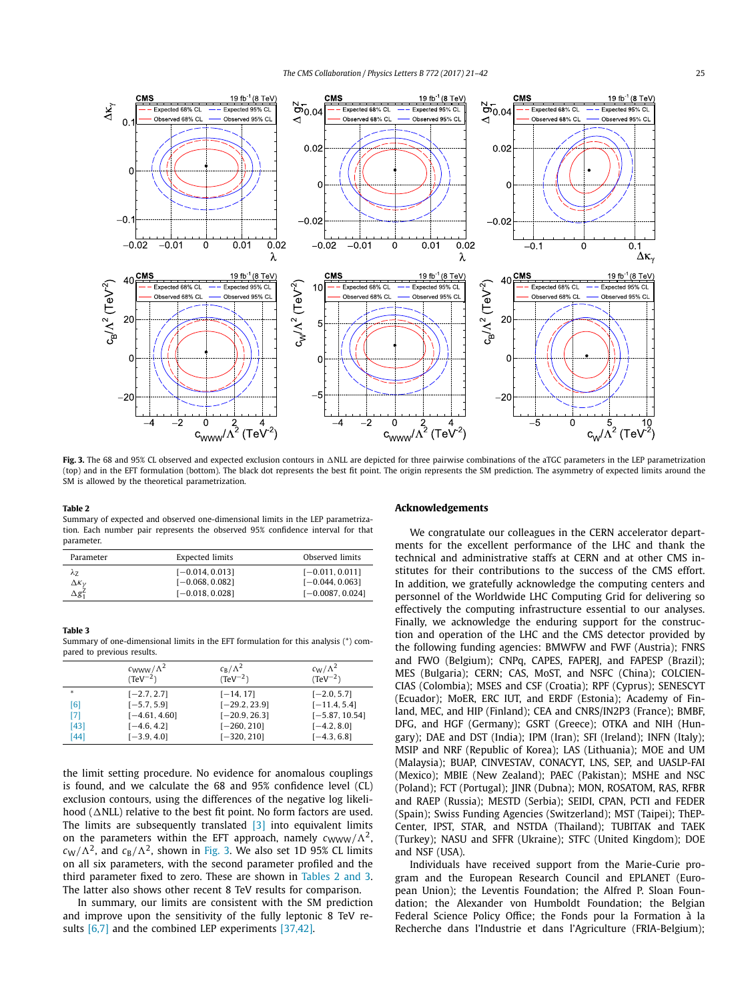

Fig. 3. The 68 and 95% CL observed and expected exclusion contours in  $\triangle$ NLL are depicted for three pairwise combinations of the aTGC parameters in the LEP parametrization (top) and in the EFT formulation (bottom). The black dot represents the best fit point. The origin represents the SM prediction. The asymmetry of expected limits around the SM is allowed by the theoretical parametrization.

#### **Table 2**

Summary of expected and observed one-dimensional limits in the LEP parametrization. Each number pair represents the observed 95% confidence interval for that parameter.

| Parameter                                                  | <b>Expected limits</b>                 | Observed limits                        |
|------------------------------------------------------------|----------------------------------------|----------------------------------------|
| $\lambda$ z<br>$\frac{\Delta \kappa_\gamma}{\Delta g_1^2}$ | $[-0.014, 0.013]$<br>$[-0.068, 0.082]$ | $[-0.011, 0.011]$<br>$[-0.044, 0.063]$ |
|                                                            | $[-0.018, 0.028]$                      | $[-0.0087, 0.024]$                     |

#### **Table 3**

Summary of one-dimensional limits in the EFT formulation for this analysis (\*) compared to previous results.

|        | $c_{WWW}/\Lambda^2$<br>$(TeV^{-2})$ | $c_{\rm B}/\Lambda^2$<br>$(TeV^{-2})$ | $c_W/\Lambda^2$<br>$(TeV^{-2})$ |
|--------|-------------------------------------|---------------------------------------|---------------------------------|
| $\ast$ | $[-2.7, 2.7]$                       | $[-14, 17]$                           | $[-2.0, 5.7]$                   |
| [6]    | $[-5.7, 5.9]$                       | $[-29.2, 23.9]$                       | $[-11.4, 5.4]$                  |
| [7]    | $[-4.61, 4.60]$                     | $[-20.9, 26.3]$                       | $[-5.87, 10.54]$                |
| [43]   | $[-4.6, 4.2]$                       | $[-260, 210]$                         | $[-4.2, 8.0]$                   |
| [44]   | $[-3.9, 4.0]$                       | $[-320, 210]$                         | $[-4.3, 6.8]$                   |

the limit setting procedure. No evidence for anomalous couplings is found, and we calculate the 68 and 95% confidence level (CL) exclusion contours, using the differences of the negative log likelihood ( $\triangle$ NLL) relative to the best fit point. No form factors are used. The limits are subsequently translated [\[3\]](#page-5-0) into equivalent limits on the parameters within the EFT approach, namely  $c_{\text{WWW}}/\Lambda^2$ ,  $c_W/\Lambda^2$ , and  $c_B/\Lambda^2$ , shown in Fig. 3. We also set 1D 95% CL limits on all six parameters, with the second parameter profiled and the third parameter fixed to zero. These are shown in Tables 2 and 3. The latter also shows other recent 8 TeV results for comparison.

In summary, our limits are consistent with the SM prediction and improve upon the sensitivity of the fully leptonic 8 TeV results [\[6,7\]](#page-5-0) and the combined LEP experiments [\[37,42\].](#page-5-0)

#### **Acknowledgements**

We congratulate our colleagues in the CERN accelerator departments for the excellent performance of the LHC and thank the technical and administrative staffs at CERN and at other CMS institutes for their contributions to the success of the CMS effort. In addition, we gratefully acknowledge the computing centers and personnel of the Worldwide LHC Computing Grid for delivering so effectively the computing infrastructure essential to our analyses. Finally, we acknowledge the enduring support for the construction and operation of the LHC and the CMS detector provided by the following funding agencies: BMWFW and FWF (Austria); FNRS and FWO (Belgium); CNPq, CAPES, FAPERJ, and FAPESP (Brazil); MES (Bulgaria); CERN; CAS, MoST, and NSFC (China); COLCIEN-CIAS (Colombia); MSES and CSF (Croatia); RPF (Cyprus); SENESCYT (Ecuador); MoER, ERC IUT, and ERDF (Estonia); Academy of Finland, MEC, and HIP (Finland); CEA and CNRS/IN2P3 (France); BMBF, DFG, and HGF (Germany); GSRT (Greece); OTKA and NIH (Hungary); DAE and DST (India); IPM (Iran); SFI (Ireland); INFN (Italy); MSIP and NRF (Republic of Korea); LAS (Lithuania); MOE and UM (Malaysia); BUAP, CINVESTAV, CONACYT, LNS, SEP, and UASLP-FAI (Mexico); MBIE (New Zealand); PAEC (Pakistan); MSHE and NSC (Poland); FCT (Portugal); JINR (Dubna); MON, ROSATOM, RAS, RFBR and RAEP (Russia); MESTD (Serbia); SEIDI, CPAN, PCTI and FEDER (Spain); Swiss Funding Agencies (Switzerland); MST (Taipei); ThEP-Center, IPST, STAR, and NSTDA (Thailand); TUBITAK and TAEK (Turkey); NASU and SFFR (Ukraine); STFC (United Kingdom); DOE and NSF (USA).

Individuals have received support from the Marie-Curie program and the European Research Council and EPLANET (European Union); the Leventis Foundation; the Alfred P. Sloan Foundation; the Alexander von Humboldt Foundation; the Belgian Federal Science Policy Office; the Fonds pour la Formation à la Recherche dans l'Industrie et dans l'Agriculture (FRIA-Belgium);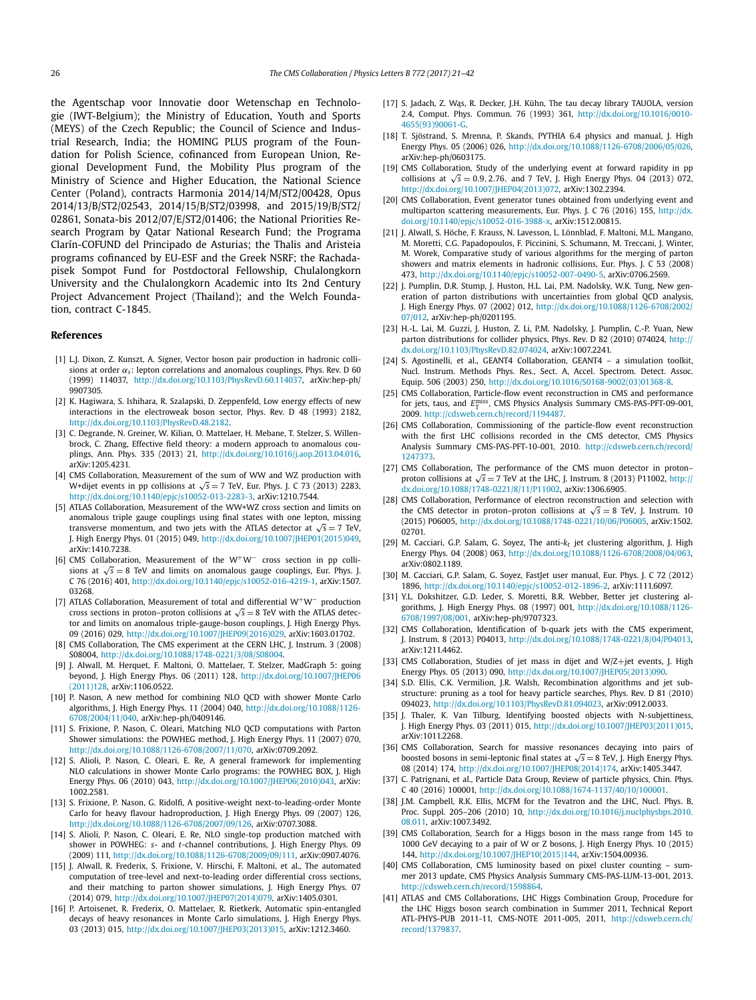<span id="page-5-0"></span>the Agentschap voor Innovatie door Wetenschap en Technologie (IWT-Belgium); the Ministry of Education, Youth and Sports (MEYS) of the Czech Republic; the Council of Science and Industrial Research, India; the HOMING PLUS program of the Foundation for Polish Science, cofinanced from European Union, Regional Development Fund, the Mobility Plus program of the Ministry of Science and Higher Education, the National Science Center (Poland), contracts Harmonia 2014/14/M/ST2/00428, Opus 2014/13/B/ST2/02543, 2014/15/B/ST2/03998, and 2015/19/B/ST2/ 02861, Sonata-bis 2012/07/E/ST2/01406; the National Priorities Research Program by Qatar National Research Fund; the Programa Clarín-COFUND del Principado de Asturias; the Thalis and Aristeia programs cofinanced by EU-ESF and the Greek NSRF; the Rachadapisek Sompot Fund for Postdoctoral Fellowship, Chulalongkorn University and the Chulalongkorn Academic into Its 2nd Century Project Advancement Project (Thailand); and the Welch Foundation, contract C-1845.

#### **References**

- [1] L.J. Dixon, Z. Kunszt, A. Signer, Vector boson pair production in hadronic collisions at order  $\alpha_s$ : lepton correlations and anomalous couplings, Phys. Rev. D 60 (1999) 114037, <http://dx.doi.org/10.1103/PhysRevD.60.114037>, arXiv:hep-ph/ 9907305.
- [2] K. Hagiwara, S. Ishihara, R. Szalapski, D. Zeppenfeld, Low energy effects of new interactions in the electroweak boson sector, Phys. Rev. D 48 (1993) 2182, <http://dx.doi.org/10.1103/PhysRevD.48.2182>.
- [3] C. Degrande, N. Greiner, W. Kilian, O. Mattelaer, H. Mebane, T. Stelzer, S. Willenbrock, C. Zhang, Effective field theory: a modern approach to anomalous couplings, Ann. Phys. 335 (2013) 21, <http://dx.doi.org/10.1016/j.aop.2013.04.016>, arXiv:1205.4231.
- [4] CMS Collaboration, Measurement of the sum of WW and WZ production with W+dijet events in pp collisions at  $\sqrt{s} = 7$  TeV, Eur. Phys. J. C 73 (2013) 2283, <http://dx.doi.org/10.1140/epjc/s10052-013-2283-3>, arXiv:1210.7544.
- [5] ATLAS Collaboration, Measurement of the WW+WZ cross section and limits on anomalous triple gauge couplings using final states with one lepton, missing transverse momentum, and two jets with the ATLAS detector at  $\sqrt{s} = 7$  TeV, J. High Energy Phys. 01 (2015) 049, [http://dx.doi.org/10.1007/JHEP01\(2015\)049](http://dx.doi.org/10.1007/JHEP01(2015)049), arXiv:1410.7238.
- [6] CMS Collaboration, Measurement of the W+W− cross section in pp collisions at  $\sqrt{s} = 8$  TeV and limits on anomalous gauge couplings, Eur. Phys. J. C 76 (2016) 401, <http://dx.doi.org/10.1140/epjc/s10052-016-4219-1>, arXiv:1507. 03268.
- [7] ATLAS Collaboration, Measurement of total and differential W+W− production cross sections in proton–proton collisions at  $\sqrt{s} = 8$  TeV with the ATLAS detector and limits on anomalous triple-gauge-boson couplings, J. High Energy Phys. 09 (2016) 029, [http://dx.doi.org/10.1007/JHEP09\(2016\)029,](http://dx.doi.org/10.1007/JHEP09(2016)029) arXiv:1603.01702.
- [8] CMS Collaboration, The CMS experiment at the CERN LHC, J. Instrum. 3 (2008) S08004, <http://dx.doi.org/10.1088/1748-0221/3/08/S08004>.
- [9] J. Alwall, M. Herquet, F. Maltoni, O. Mattelaer, T. Stelzer, MadGraph 5: going beyond, J. High Energy Phys. 06 (2011) 128, [http://dx.doi.org/10.1007/JHEP06](http://dx.doi.org/10.1007/JHEP06(2011)128) [\(2011\)128](http://dx.doi.org/10.1007/JHEP06(2011)128), arXiv:1106.0522.
- [10] P. Nason, A new method for combining NLO QCD with shower Monte Carlo algorithms, J. High Energy Phys. 11 (2004) 040, [http://dx.doi.org/10.1088/1126-](http://dx.doi.org/10.1088/1126-6708/2004/11/040) [6708/2004/11/040](http://dx.doi.org/10.1088/1126-6708/2004/11/040), arXiv:hep-ph/0409146.
- [11] S. Frixione, P. Nason, C. Oleari, Matching NLO QCD computations with Parton Shower simulations: the POWHEG method, J. High Energy Phys. 11 (2007) 070, <http://dx.doi.org/10.1088/1126-6708/2007/11/070>, arXiv:0709.2092.
- [12] S. Alioli, P. Nason, C. Oleari, E. Re, A general framework for implementing NLO calculations in shower Monte Carlo programs: the POWHEG BOX, J. High Energy Phys. 06 (2010) 043, [http://dx.doi.org/10.1007/JHEP06\(2010\)043](http://dx.doi.org/10.1007/JHEP06(2010)043), arXiv: 1002.2581.
- [13] S. Frixione, P. Nason, G. Ridolfi, A positive-weight next-to-leading-order Monte Carlo for heavy flavour hadroproduction, J. High Energy Phys. 09 (2007) 126, <http://dx.doi.org/10.1088/1126-6708/2007/09/126>, arXiv:0707.3088.
- [14] S. Alioli, P. Nason, C. Oleari, E. Re, NLO single-top production matched with shower in POWHEG: *s*- and *t*-channel contributions, J. High Energy Phys. 09 (2009) 111, [http://dx.doi.org/10.1088/1126-6708/2009/09/111,](http://dx.doi.org/10.1088/1126-6708/2009/09/111) arXiv:0907.4076.
- [15] J. Alwall, R. Frederix, S. Frixione, V. Hirschi, F. Maltoni, et al., The automated computation of tree-level and next-to-leading order differential cross sections, and their matching to parton shower simulations, J. High Energy Phys. 07 (2014) 079, [http://dx.doi.org/10.1007/JHEP07\(2014\)079,](http://dx.doi.org/10.1007/JHEP07(2014)079) arXiv:1405.0301.
- [16] P. Artoisenet, R. Frederix, O. Mattelaer, R. Rietkerk, Automatic spin-entangled decays of heavy resonances in Monte Carlo simulations, J. High Energy Phys. 03 (2013) 015, [http://dx.doi.org/10.1007/JHEP03\(2013\)015,](http://dx.doi.org/10.1007/JHEP03(2013)015) arXiv:1212.3460.
- [17] S. Jadach, Z. Wąs, R. Decker, J.H. Kühn, The tau decay library TAUOLA, version 2.4, Comput. Phys. Commun. 76 (1993) 361, [http://dx.doi.org/10.1016/0010-](http://dx.doi.org/10.1016/0010-4655(93)90061-G) [4655\(93\)90061-G.](http://dx.doi.org/10.1016/0010-4655(93)90061-G)
- [18] T. Sjöstrand, S. Mrenna, P. Skands, PYTHIA 6.4 physics and manual, J. High Energy Phys. 05 (2006) 026, <http://dx.doi.org/10.1088/1126-6708/2006/05/026>, arXiv:hep-ph/0603175.
- [19] CMS Collaboration, Study of the underlying event at forward rapidity in pp collisions at  $\sqrt{s}$  = 0.9, 2.76*,* and 7 TeV, J. High Energy Phys. 04 (2013) 072, [http://dx.doi.org/10.1007/JHEP04\(2013\)072](http://dx.doi.org/10.1007/JHEP04(2013)072), arXiv:1302.2394.
- [20] CMS Collaboration, Event generator tunes obtained from underlying event and multiparton scattering measurements, Eur. Phys. J. C 76 (2016) 155, [http://dx.](http://dx.doi.org/10.1140/epjc/s10052-016-3988-x) [doi.org/10.1140/epjc/s10052-016-3988-x](http://dx.doi.org/10.1140/epjc/s10052-016-3988-x), arXiv:1512.00815.
- [21] J. Alwall, S. Höche, F. Krauss, N. Lavesson, L. Lönnblad, F. Maltoni, M.L. Mangano, M. Moretti, C.G. Papadopoulos, F. Piccinini, S. Schumann, M. Treccani, J. Winter, M. Worek, Comparative study of various algorithms for the merging of parton showers and matrix elements in hadronic collisions, Eur. Phys. J. C 53 (2008) 473, <http://dx.doi.org/10.1140/epjc/s10052-007-0490-5>, arXiv:0706.2569.
- [22] J. Pumplin, D.R. Stump, J. Huston, H.L. Lai, P.M. Nadolsky, W.K. Tung, New generation of parton distributions with uncertainties from global QCD analysis, J. High Energy Phys. 07 (2002) 012, [http://dx.doi.org/10.1088/1126-6708/2002/](http://dx.doi.org/10.1088/1126-6708/2002/07/012) [07/012](http://dx.doi.org/10.1088/1126-6708/2002/07/012), arXiv:hep-ph/0201195.
- [23] H.-L. Lai, M. Guzzi, J. Huston, Z. Li, P.M. Nadolsky, J. Pumplin, C.-P. Yuan, New parton distributions for collider physics, Phys. Rev. D 82 (2010) 074024, [http://](http://dx.doi.org/10.1103/PhysRevD.82.074024) [dx.doi.org/10.1103/PhysRevD.82.074024](http://dx.doi.org/10.1103/PhysRevD.82.074024), arXiv:1007.2241.
- [24] S. Agostinelli, et al., GEANT4 Collaboration, GEANT4 a simulation toolkit, Nucl. Instrum. Methods Phys. Res., Sect. A, Accel. Spectrom. Detect. Assoc. Equip. 506 (2003) 250, [http://dx.doi.org/10.1016/S0168-9002\(03\)01368-8](http://dx.doi.org/10.1016/S0168-9002(03)01368-8).
- [25] CMS Collaboration, Particle-flow event reconstruction in CMS and performance for jets, taus, and  $E_T^{\text{miss}}$ , CMS Physics Analysis Summary CMS-PAS-PFT-09-001, 2009. <http://cdsweb.cern.ch/record/1194487>.
- [26] CMS Collaboration, Commissioning of the particle-flow event reconstruction with the first LHC collisions recorded in the CMS detector, CMS Physics Analysis Summary CMS-PAS-PFT-10-001, 2010. [http://cdsweb.cern.ch/record/](http://cdsweb.cern.ch/record/1247373) [1247373](http://cdsweb.cern.ch/record/1247373).
- [27] CMS Collaboration, The performance of the CMS muon detector in proton– proton collisions at  $\sqrt{s}$  = 7 TeV at the LHC, J. Instrum. 8 (2013) P11002, [http://](http://dx.doi.org/10.1088/1748-0221/8/11/P11002) [dx.doi.org/10.1088/1748-0221/8/11/P11002,](http://dx.doi.org/10.1088/1748-0221/8/11/P11002) arXiv:1306.6905.
- [28] CMS Collaboration, Performance of electron reconstruction and selection with the CMS detector in proton–proton collisions at  $\sqrt{s} = 8$  TeV. I. Instrum. 10 (2015) P06005, <http://dx.doi.org/10.1088/1748-0221/10/06/P06005>, arXiv:1502. 02701.
- [29] M. Cacciari, G.P. Salam, G. Soyez, The anti- $k_t$  jet clustering algorithm, J. High Energy Phys. 04 (2008) 063, <http://dx.doi.org/10.1088/1126-6708/2008/04/063>, arXiv:0802.1189.
- [30] M. Cacciari, G.P. Salam, G. Soyez, FastJet user manual, Eur. Phys. J. C 72 (2012) 1896, [http://dx.doi.org/10.1140/epjc/s10052-012-1896-2,](http://dx.doi.org/10.1140/epjc/s10052-012-1896-2) arXiv:1111.6097.
- [31] Y.L. Dokshitzer, G.D. Leder, S. Moretti, B.R. Webber, Better jet clustering algorithms, J. High Energy Phys. 08 (1997) 001, [http://dx.doi.org/10.1088/1126-](http://dx.doi.org/10.1088/1126-6708/1997/08/001) [6708/1997/08/001](http://dx.doi.org/10.1088/1126-6708/1997/08/001), arXiv:hep-ph/9707323.
- [32] CMS Collaboration, Identification of b-quark jets with the CMS experiment, J. Instrum. 8 (2013) P04013, <http://dx.doi.org/10.1088/1748-0221/8/04/P04013>, arXiv:1211.4462.
- [33] CMS Collaboration, Studies of jet mass in dijet and W/Z+jet events, J. High Energy Phys. 05 (2013) 090, [http://dx.doi.org/10.1007/JHEP05\(2013\)090](http://dx.doi.org/10.1007/JHEP05(2013)090).
- [34] S.D. Ellis, C.K. Vermilion, J.R. Walsh, Recombination algorithms and jet substructure: pruning as a tool for heavy particle searches, Phys. Rev. D 81 (2010) 094023, [http://dx.doi.org/10.1103/PhysRevD.81.094023,](http://dx.doi.org/10.1103/PhysRevD.81.094023) arXiv:0912.0033.
- [35] J. Thaler, K. Van Tilburg, Identifying boosted objects with N-subjettiness, J. High Energy Phys. 03 (2011) 015, [http://dx.doi.org/10.1007/JHEP03\(2011\)015](http://dx.doi.org/10.1007/JHEP03(2011)015), arXiv:1011.2268.
- [36] CMS Collaboration, Search for massive resonances decaying into pairs of boosted bosons in semi-leptonic final states at  $\sqrt{s} = 8$  TeV, J. High Energy Phys. 08 (2014) 174, [http://dx.doi.org/10.1007/JHEP08\(2014\)174,](http://dx.doi.org/10.1007/JHEP08(2014)174) arXiv:1405.3447.
- [37] C. Patrignani, et al., Particle Data Group, Review of particle physics, Chin. Phys. C 40 (2016) 100001, [http://dx.doi.org/10.1088/1674-1137/40/10/100001.](http://dx.doi.org/10.1088/1674-1137/40/10/100001)
- [38] J.M. Campbell, R.K. Ellis, MCFM for the Tevatron and the LHC, Nucl. Phys. B, Proc. Suppl. 205–206 (2010) 10, [http://dx.doi.org/10.1016/j.nuclphysbps.2010.](http://dx.doi.org/10.1016/j.nuclphysbps.2010.08.011) [08.011,](http://dx.doi.org/10.1016/j.nuclphysbps.2010.08.011) arXiv:1007.3492.
- [39] CMS Collaboration, Search for a Higgs boson in the mass range from 145 to 1000 GeV decaying to a pair of W or Z bosons, J. High Energy Phys. 10 (2015) 144, [http://dx.doi.org/10.1007/JHEP10\(2015\)144,](http://dx.doi.org/10.1007/JHEP10(2015)144) arXiv:1504.00936.
- [40] CMS Collaboration, CMS luminosity based on pixel cluster counting summer 2013 update, CMS Physics Analysis Summary CMS-PAS-LUM-13-001, 2013. <http://cdsweb.cern.ch/record/1598864>.
- [41] ATLAS and CMS Collaborations, LHC Higgs Combination Group, Procedure for the LHC Higgs boson search combination in Summer 2011, Technical Report ATL-PHYS-PUB 2011-11, CMS-NOTE 2011-005, 2011, [http://cdsweb.cern.ch/](http://cdsweb.cern.ch/record/1379837) [record/1379837](http://cdsweb.cern.ch/record/1379837).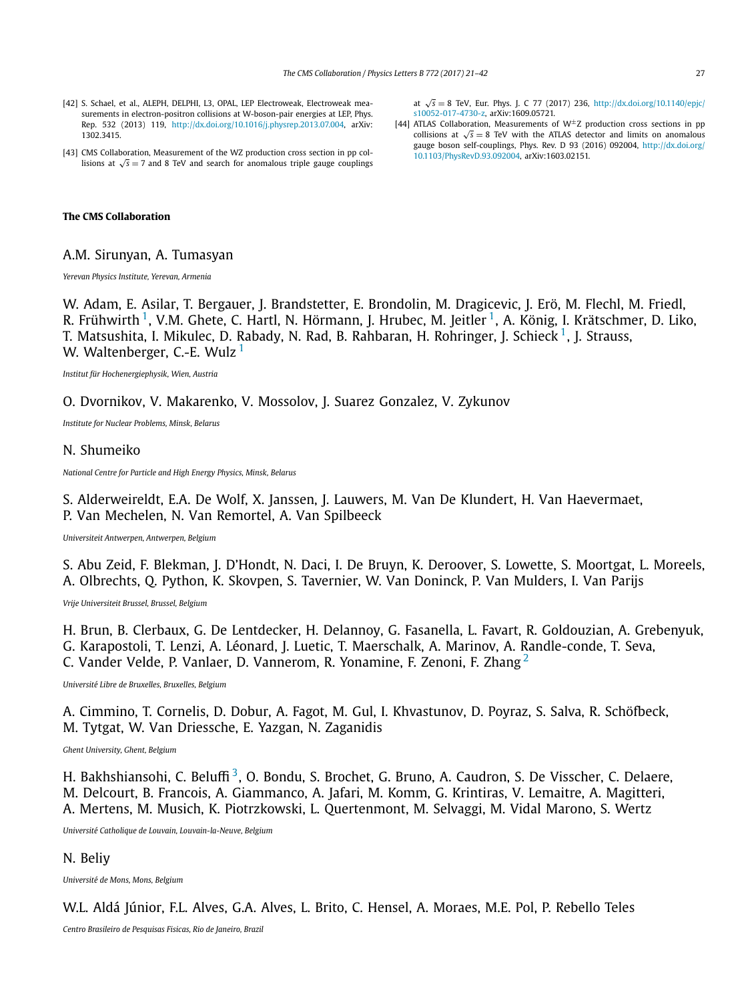- <span id="page-6-0"></span>[42] S. Schael, et al., ALEPH, DELPHI, L3, OPAL, LEP Electroweak, Electroweak measurements in electron-positron collisions at W-boson-pair energies at LEP, Phys. Rep. 532 (2013) 119, <http://dx.doi.org/10.1016/j.physrep.2013.07.004>, arXiv: 1302.3415.
- [43] CMS Collaboration, Measurement of the WZ production cross section in pp collisions at  $\sqrt{s}$  = 7 and 8 TeV and search for anomalous triple gauge couplings

at  $\sqrt{s}$  = 8 TeV, Eur. Phys. J. C 77 (2017) 236, [http://dx.doi.org/10.1140/epjc/](http://dx.doi.org/10.1140/epjc/s10052-017-4730-z) [s10052-017-4730-z](http://dx.doi.org/10.1140/epjc/s10052-017-4730-z), arXiv:1609.05721.

[44] ATLAS Collaboration, Measurements of  $W^{\pm}Z$  production cross sections in pp collisions at  $\sqrt{s}$  = 8 TeV with the ATLAS detector and limits on anomalous gauge boson self-couplings, Phys. Rev. D 93 (2016) 092004, [http://dx.doi.org/](http://dx.doi.org/10.1103/PhysRevD.93.092004) [10.1103/PhysRevD.93.092004,](http://dx.doi.org/10.1103/PhysRevD.93.092004) arXiv:1603.02151.

#### **The CMS Collaboration**

#### A.M. Sirunyan, A. Tumasyan

*Yerevan Physics Institute, Yerevan, Armenia*

W. Adam, E. Asilar, T. Bergauer, J. Brandstetter, E. Brondolin, M. Dragicevic, J. Erö, M. Flechl, M. Friedl, R. Frühwirth <sup>1</sup>, V.M. Ghete, C. Hartl, N. Hörmann, J. Hrubec, M. Jeitler <sup>1</sup>, A. König, I. Krätschmer, D. Liko, T. Matsushita, I. Mikulec, D. Rabady, N. Rad, B. Rahbaran, H. Rohringer, J. Schieck<sup>1</sup>, J. Strauss, W. Waltenberger, C.-E. Wulz<sup>[1](#page-20-0)</sup>

*Institut für Hochenergiephysik, Wien, Austria*

O. Dvornikov, V. Makarenko, V. Mossolov, J. Suarez Gonzalez, V. Zykunov

*Institute for Nuclear Problems, Minsk, Belarus*

#### N. Shumeiko

*National Centre for Particle and High Energy Physics, Minsk, Belarus*

S. Alderweireldt, E.A. De Wolf, X. Janssen, J. Lauwers, M. Van De Klundert, H. Van Haevermaet, P. Van Mechelen, N. Van Remortel, A. Van Spilbeeck

*Universiteit Antwerpen, Antwerpen, Belgium*

S. Abu Zeid, F. Blekman, J. D'Hondt, N. Daci, I. De Bruyn, K. Deroover, S. Lowette, S. Moortgat, L. Moreels, A. Olbrechts, Q. Python, K. Skovpen, S. Tavernier, W. Van Doninck, P. Van Mulders, I. Van Parijs

*Vrije Universiteit Brussel, Brussel, Belgium*

H. Brun, B. Clerbaux, G. De Lentdecker, H. Delannoy, G. Fasanella, L. Favart, R. Goldouzian, A. Grebenyuk, G. Karapostoli, T. Lenzi, A. Léonard, J. Luetic, T. Maerschalk, A. Marinov, A. Randle-conde, T. Seva, C. Vander Velde, P. Vanlaer, D. Vannerom, R. Yonamine, F. Zenoni, F. Zhang  $^2$  $^2$ 

*Université Libre de Bruxelles, Bruxelles, Belgium*

A. Cimmino, T. Cornelis, D. Dobur, A. Fagot, M. Gul, I. Khvastunov, D. Poyraz, S. Salva, R. Schöfbeck, M. Tytgat, W. Van Driessche, E. Yazgan, N. Zaganidis

*Ghent University, Ghent, Belgium*

H. Bakhshiansohi, C. Beluffi<sup>3</sup>, O. Bondu, S. Brochet, G. Bruno, A. Caudron, S. De Visscher, C. Delaere, M. Delcourt, B. Francois, A. Giammanco, A. Jafari, M. Komm, G. Krintiras, V. Lemaitre, A. Magitteri, A. Mertens, M. Musich, K. Piotrzkowski, L. Quertenmont, M. Selvaggi, M. Vidal Marono, S. Wertz

*Université Catholique de Louvain, Louvain-la-Neuve, Belgium*

#### N. Beliy

*Université de Mons, Mons, Belgium*

W.L. Aldá Júnior, F.L. Alves, G.A. Alves, L. Brito, C. Hensel, A. Moraes, M.E. Pol, P. Rebello Teles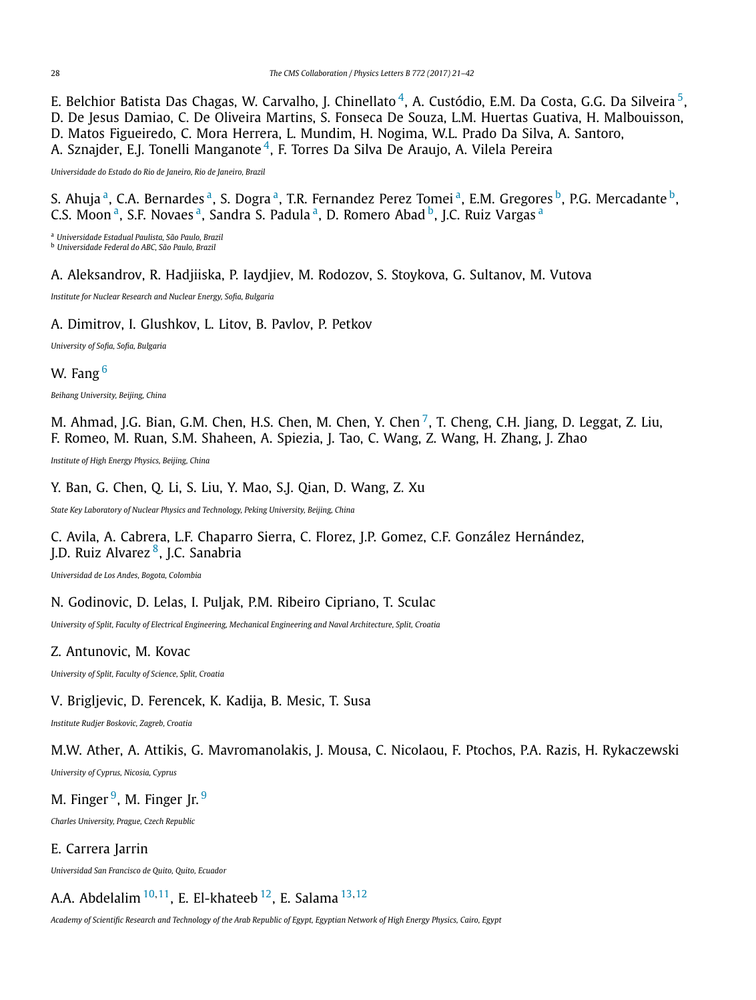E. Belchior Batista Das Chagas, W. Carvalho, J. Chinellato<sup>4</sup>, A. Custódio, E.M. Da Costa, G.G. Da Silveira<sup>5</sup>, D. De Jesus Damiao, C. De Oliveira Martins, S. Fonseca De Souza, L.M. Huertas Guativa, H. Malbouisson, D. Matos Figueiredo, C. Mora Herrera, L. Mundim, H. Nogima, W.L. Prado Da Silva, A. Santoro, A. Sznajder, E.J. Tonelli Manganote [4,](#page-20-0) F. Torres Da Silva De Araujo, A. Vilela Pereira

*Universidade do Estado do Rio de Janeiro, Rio de Janeiro, Brazil*

S. Ahuja<sup>a</sup>, C.A. Bernardes<sup>a</sup>, S. Dogra<sup>a</sup>, T.R. Fernandez Perez Tomei<sup>a</sup>, E.M. Gregores<sup>b</sup>, P.G. Mercadante<sup>b</sup>, C.S. Moon<sup>a</sup>, S.F. Novaes<sup>a</sup>, Sandra S. Padula<sup>a</sup>, D. Romero Abad <sup>b</sup>, J.C. Ruiz Vargas <sup>a</sup>

<sup>a</sup> *Universidade Estadual Paulista, São Paulo, Brazil*

<sup>b</sup> *Universidade Federal do ABC, São Paulo, Brazil*

A. Aleksandrov, R. Hadjiiska, P. Iaydjiev, M. Rodozov, S. Stoykova, G. Sultanov, M. Vutova

*Institute for Nuclear Research and Nuclear Energy, Sofia, Bulgaria*

#### A. Dimitrov, I. Glushkov, L. Litov, B. Pavlov, P. Petkov

*University of Sofia, Sofia, Bulgaria*

## W. Fang<sup>[6](#page-20-0)</sup>

*Beihang University, Beijing, China*

M. Ahmad, J.G. Bian, G.M. Chen, H.S. Chen, M. Chen, Y. Chen<sup>7</sup>, T. Cheng, C.H. Jiang, D. Leggat, Z. Liu, F. Romeo, M. Ruan, S.M. Shaheen, A. Spiezia, J. Tao, C. Wang, Z. Wang, H. Zhang, J. Zhao

*Institute of High Energy Physics, Beijing, China*

#### Y. Ban, G. Chen, Q. Li, S. Liu, Y. Mao, S.J. Qian, D. Wang, Z. Xu

*State Key Laboratory of Nuclear Physics and Technology, Peking University, Beijing, China*

C. Avila, A. Cabrera, L.F. Chaparro Sierra, C. Florez, J.P. Gomez, C.F. González Hernández, J.D. Ruiz Alvarez<sup>8</sup>, J.C. Sanabria

*Universidad de Los Andes, Bogota, Colombia*

## N. Godinovic, D. Lelas, I. Puljak, P.M. Ribeiro Cipriano, T. Sculac

*University of Split, Faculty of Electrical Engineering, Mechanical Engineering and Naval Architecture, Split, Croatia*

#### Z. Antunovic, M. Kovac

*University of Split, Faculty of Science, Split, Croatia*

## V. Brigljevic, D. Ferencek, K. Kadija, B. Mesic, T. Susa

*Institute Rudjer Boskovic, Zagreb, Croatia*

#### M.W. Ather, A. Attikis, G. Mavromanolakis, J. Mousa, C. Nicolaou, F. Ptochos, P.A. Razis, H. Rykaczewski

*University of Cyprus, Nicosia, Cyprus*

# M. Finger  $<sup>9</sup>$  $<sup>9</sup>$  $<sup>9</sup>$ , M. Finger Jr.  $<sup>9</sup>$ </sup></sup>

*Charles University, Prague, Czech Republic*

## E. Carrera Jarrin

*Universidad San Francisco de Quito, Quito, Ecuador*

## A.A. Abdelalim [10](#page-20-0)*,*[11,](#page-20-0) E. El-khateeb [12](#page-20-0), E. Salama [13](#page-20-0)*,*[12](#page-20-0)

Academy of Scientific Research and Technology of the Arab Republic of Egypt, Egyptian Network of High Energy Physics, Cairo, Egypt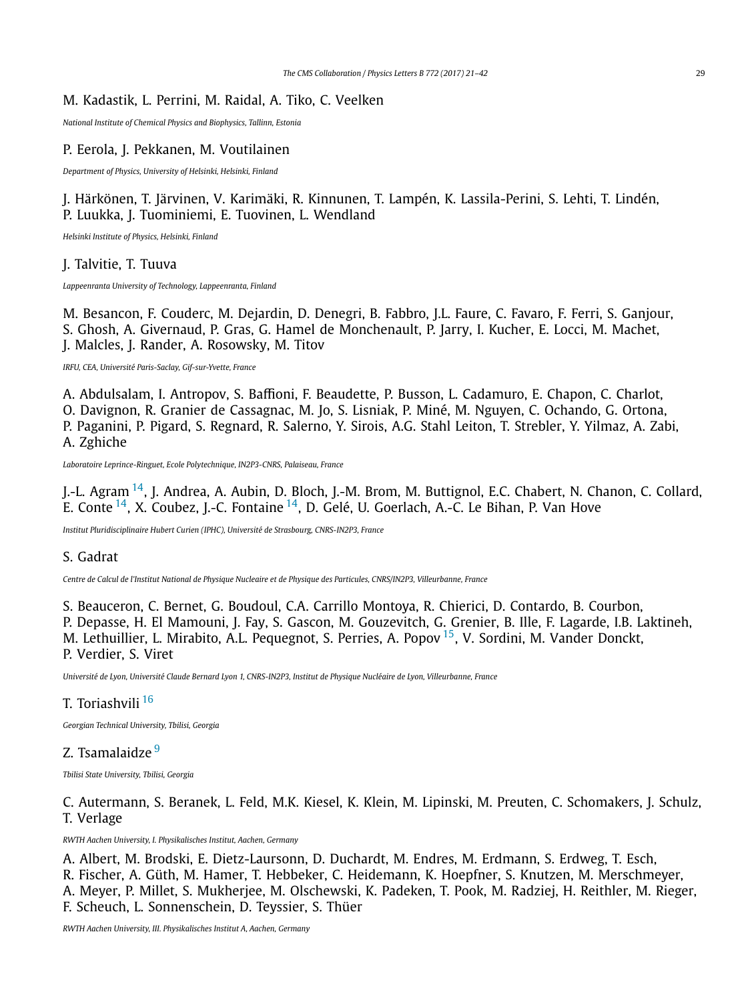#### M. Kadastik, L. Perrini, M. Raidal, A. Tiko, C. Veelken

*National Institute of Chemical Physics and Biophysics, Tallinn, Estonia*

#### P. Eerola, J. Pekkanen, M. Voutilainen

*Department of Physics, University of Helsinki, Helsinki, Finland*

# J. Härkönen, T. Järvinen, V. Karimäki, R. Kinnunen, T. Lampén, K. Lassila-Perini, S. Lehti, T. Lindén, P. Luukka, J. Tuominiemi, E. Tuovinen, L. Wendland

*Helsinki Institute of Physics, Helsinki, Finland*

#### J. Talvitie, T. Tuuva

*Lappeenranta University of Technology, Lappeenranta, Finland*

M. Besancon, F. Couderc, M. Dejardin, D. Denegri, B. Fabbro, J.L. Faure, C. Favaro, F. Ferri, S. Ganjour, S. Ghosh, A. Givernaud, P. Gras, G. Hamel de Monchenault, P. Jarry, I. Kucher, E. Locci, M. Machet, J. Malcles, J. Rander, A. Rosowsky, M. Titov

*IRFU, CEA, Université Paris-Saclay, Gif-sur-Yvette, France*

A. Abdulsalam, I. Antropov, S. Baffioni, F. Beaudette, P. Busson, L. Cadamuro, E. Chapon, C. Charlot, O. Davignon, R. Granier de Cassagnac, M. Jo, S. Lisniak, P. Miné, M. Nguyen, C. Ochando, G. Ortona, P. Paganini, P. Pigard, S. Regnard, R. Salerno, Y. Sirois, A.G. Stahl Leiton, T. Strebler, Y. Yilmaz, A. Zabi, A. Zghiche

*Laboratoire Leprince-Ringuet, Ecole Polytechnique, IN2P3-CNRS, Palaiseau, France*

J.-L. Agram <sup>14</sup>, J. Andrea, A. Aubin, D. Bloch, J.-M. Brom, M. Buttignol, E.C. Chabert, N. Chanon, C. Collard, E. Conte  $^{14}$  $^{14}$  $^{14}$ , X. Coubez, J.-C. Fontaine  $^{14}$ , D. Gelé, U. Goerlach, A.-C. Le Bihan, P. Van Hove

*Institut Pluridisciplinaire Hubert Curien (IPHC), Université de Strasbourg, CNRS-IN2P3, France*

#### S. Gadrat

Centre de Calcul de l'Institut National de Physique Nucleaire et de Physique des Particules, CNRS/IN2P3, Villeurbanne, France

S. Beauceron, C. Bernet, G. Boudoul, C.A. Carrillo Montoya, R. Chierici, D. Contardo, B. Courbon, P. Depasse, H. El Mamouni, J. Fay, S. Gascon, M. Gouzevitch, G. Grenier, B. Ille, F. Lagarde, I.B. Laktineh, M. Lethuillier, L. Mirabito, A.L. Pequegnot, S. Perries, A. Popov [15](#page-20-0), V. Sordini, M. Vander Donckt, P. Verdier, S. Viret

Université de Lyon, Université Claude Bernard Lyon 1, CNRS-IN2P3, Institut de Physique Nucléaire de Lyon, Villeurbanne, France

# T. Toriashvili <sup>[16](#page-20-0)</sup>

*Georgian Technical University, Tbilisi, Georgia*

# Z. Tsamalaidze<sup>[9](#page-20-0)</sup>

*Tbilisi State University, Tbilisi, Georgia*

C. Autermann, S. Beranek, L. Feld, M.K. Kiesel, K. Klein, M. Lipinski, M. Preuten, C. Schomakers, J. Schulz, T. Verlage

*RWTH Aachen University, I. Physikalisches Institut, Aachen, Germany*

A. Albert, M. Brodski, E. Dietz-Laursonn, D. Duchardt, M. Endres, M. Erdmann, S. Erdweg, T. Esch, R. Fischer, A. Güth, M. Hamer, T. Hebbeker, C. Heidemann, K. Hoepfner, S. Knutzen, M. Merschmeyer, A. Meyer, P. Millet, S. Mukherjee, M. Olschewski, K. Padeken, T. Pook, M. Radziej, H. Reithler, M. Rieger, F. Scheuch, L. Sonnenschein, D. Teyssier, S. Thüer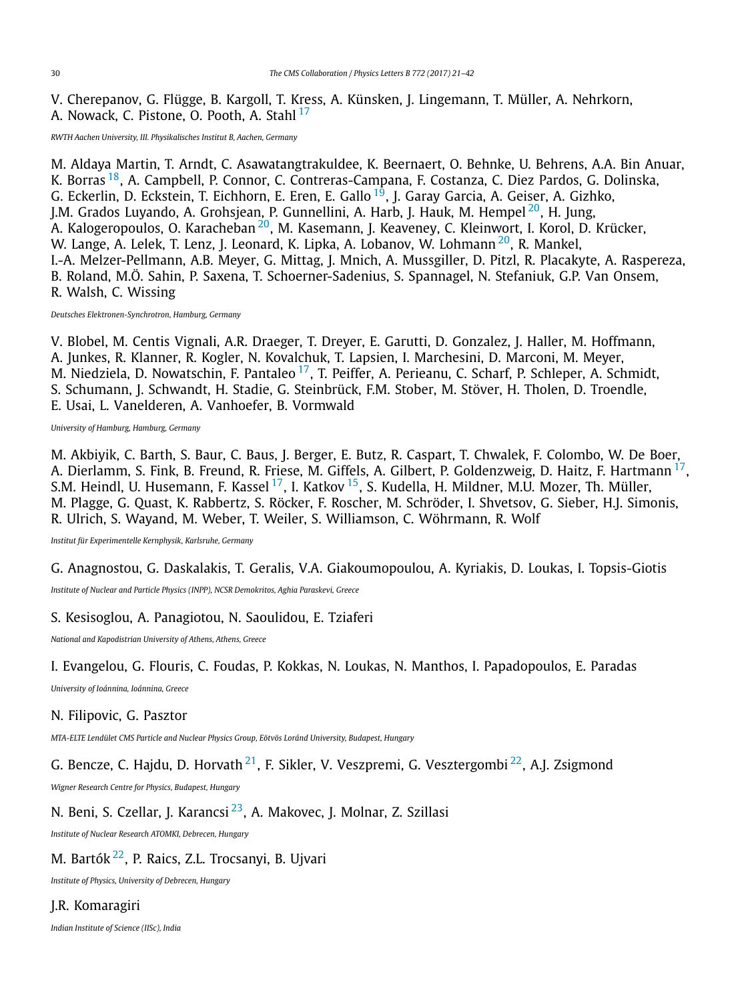V. Cherepanov, G. Flügge, B. Kargoll, T. Kress, A. Künsken, J. Lingemann, T. Müller, A. Nehrkorn, A. Nowack, C. Pistone, O. Pooth, A. Stahl<sup>[17](#page-20-0)</sup>

*RWTH Aachen University, III. Physikalisches Institut B, Aachen, Germany*

M. Aldaya Martin, T. Arndt, C. Asawatangtrakuldee, K. Beernaert, O. Behnke, U. Behrens, A.A. Bin Anuar, K. Borras <sup>18</sup>, A. Campbell, P. Connor, C. Contreras-Campana, F. Costanza, C. Diez Pardos, G. Dolinska, G. Eckerlin, D. Eckstein, T. Eichhorn, E. Eren, E. Gallo<sup>19</sup>, J. Garay Garcia, A. Geiser, A. Gizhko, J.M. Grados Luyando, A. Grohsjean, P. Gunnellini, A. Harb, J. Hauk, M. Hempel<sup>20</sup>, H. Jung, A. Kalogeropoulos, O. Karacheban [20,](#page-20-0) M. Kasemann, J. Keaveney, C. Kleinwort, I. Korol, D. Krücker, W. Lange, A. Lelek, T. Lenz, J. Leonard, K. Lipka, A. Lobanov, W. Lohmann<sup>20</sup>, R. Mankel, I.-A. Melzer-Pellmann, A.B. Meyer, G. Mittag, J. Mnich, A. Mussgiller, D. Pitzl, R. Placakyte, A. Raspereza, B. Roland, M.Ö. Sahin, P. Saxena, T. Schoerner-Sadenius, S. Spannagel, N. Stefaniuk, G.P. Van Onsem, R. Walsh, C. Wissing

*Deutsches Elektronen-Synchrotron, Hamburg, Germany*

V. Blobel, M. Centis Vignali, A.R. Draeger, T. Dreyer, E. Garutti, D. Gonzalez, J. Haller, M. Hoffmann, A. Junkes, R. Klanner, R. Kogler, N. Kovalchuk, T. Lapsien, I. Marchesini, D. Marconi, M. Meyer, M. Niedziela, D. Nowatschin, F. Pantaleo [17,](#page-20-0) T. Peiffer, A. Perieanu, C. Scharf, P. Schleper, A. Schmidt, S. Schumann, J. Schwandt, H. Stadie, G. Steinbrück, F.M. Stober, M. Stöver, H. Tholen, D. Troendle, E. Usai, L. Vanelderen, A. Vanhoefer, B. Vormwald

*University of Hamburg, Hamburg, Germany*

M. Akbiyik, C. Barth, S. Baur, C. Baus, J. Berger, E. Butz, R. Caspart, T. Chwalek, F. Colombo, W. De Boer, A. Dierlamm, S. Fink, B. Freund, R. Friese, M. Giffels, A. Gilbert, P. Goldenzweig, D. Haitz, F. Hartmann [17,](#page-20-0) S.M. Heindl, U. Husemann, F. Kassel [17,](#page-20-0) I. Katkov [15,](#page-20-0) S. Kudella, H. Mildner, M.U. Mozer, Th. Müller, M. Plagge, G. Quast, K. Rabbertz, S. Röcker, F. Roscher, M. Schröder, I. Shvetsov, G. Sieber, H.J. Simonis, R. Ulrich, S. Wayand, M. Weber, T. Weiler, S. Williamson, C. Wöhrmann, R. Wolf

*Institut für Experimentelle Kernphysik, Karlsruhe, Germany*

G. Anagnostou, G. Daskalakis, T. Geralis, V.A. Giakoumopoulou, A. Kyriakis, D. Loukas, I. Topsis-Giotis

*Institute of Nuclear and Particle Physics (INPP), NCSR Demokritos, Aghia Paraskevi, Greece*

#### S. Kesisoglou, A. Panagiotou, N. Saoulidou, E. Tziaferi

*National and Kapodistrian University of Athens, Athens, Greece*

#### I. Evangelou, G. Flouris, C. Foudas, P. Kokkas, N. Loukas, N. Manthos, I. Papadopoulos, E. Paradas

*University of Ioánnina, Ioánnina, Greece*

#### N. Filipovic, G. Pasztor

*MTA-ELTE Lendület CMS Particle and Nuclear Physics Group, Eötvös Loránd University, Budapest, Hungary*

# G. Bencze, C. Hajdu, D. Horvath<sup>21</sup>, F. Sikler, V. Veszpremi, G. Vesztergombi<sup>22</sup>, A.J. Zsigmond

*Wigner Research Centre for Physics, Budapest, Hungary*

# N. Beni, S. Czellar, J. Karancsi [23,](#page-20-0) A. Makovec, J. Molnar, Z. Szillasi

*Institute of Nuclear Research ATOMKI, Debrecen, Hungary*

# M. Bartók [22,](#page-20-0) P. Raics, Z.L. Trocsanyi, B. Ujvari

*Institute of Physics, University of Debrecen, Hungary*

#### J.R. Komaragiri

*Indian Institute of Science (IISc), India*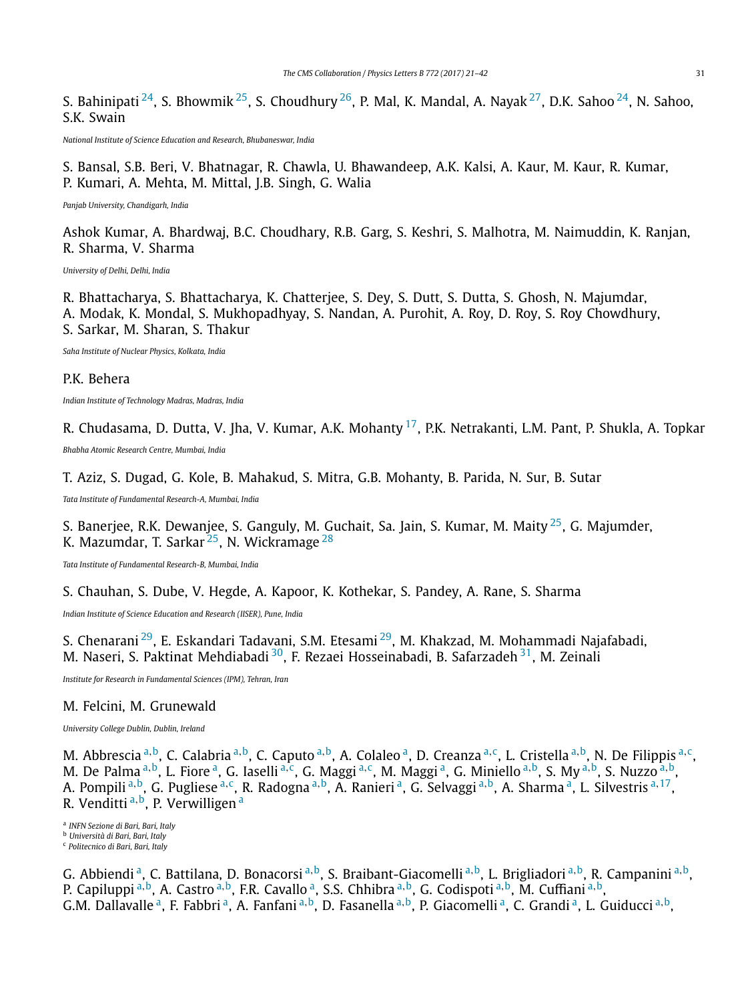S. Bahinipati  $^{24}$  $^{24}$  $^{24}$ , S. Bhowmik  $^{25}$ , S. Choudhury  $^{26}$ , P. Mal, K. Mandal, A. Nayak  $^{27}$ , D.K. Sahoo  $^{24}$ , N. Sahoo, S.K. Swain

*National Institute of Science Education and Research, Bhubaneswar, India*

S. Bansal, S.B. Beri, V. Bhatnagar, R. Chawla, U. Bhawandeep, A.K. Kalsi, A. Kaur, M. Kaur, R. Kumar, P. Kumari, A. Mehta, M. Mittal, J.B. Singh, G. Walia

*Panjab University, Chandigarh, India*

Ashok Kumar, A. Bhardwaj, B.C. Choudhary, R.B. Garg, S. Keshri, S. Malhotra, M. Naimuddin, K. Ranjan, R. Sharma, V. Sharma

*University of Delhi, Delhi, India*

R. Bhattacharya, S. Bhattacharya, K. Chatterjee, S. Dey, S. Dutt, S. Dutta, S. Ghosh, N. Majumdar, A. Modak, K. Mondal, S. Mukhopadhyay, S. Nandan, A. Purohit, A. Roy, D. Roy, S. Roy Chowdhury, S. Sarkar, M. Sharan, S. Thakur

*Saha Institute of Nuclear Physics, Kolkata, India*

#### P.K. Behera

*Indian Institute of Technology Madras, Madras, India*

R. Chudasama, D. Dutta, V. Jha, V. Kumar, A.K. Mohanty [17,](#page-20-0) P.K. Netrakanti, L.M. Pant, P. Shukla, A. Topkar *Bhabha Atomic Research Centre, Mumbai, India*

T. Aziz, S. Dugad, G. Kole, B. Mahakud, S. Mitra, G.B. Mohanty, B. Parida, N. Sur, B. Sutar

*Tata Institute of Fundamental Research-A, Mumbai, India*

S. Banerjee, R.K. Dewanjee, S. Ganguly, M. Guchait, Sa. Jain, S. Kumar, M. Maity [25](#page-20-0), G. Majumder, K. Mazumdar, T. Sarkar $^{25}$  $^{25}$  $^{25}$ , N. Wickramage  $^{28}$  $^{28}$  $^{28}$ 

*Tata Institute of Fundamental Research-B, Mumbai, India*

S. Chauhan, S. Dube, V. Hegde, A. Kapoor, K. Kothekar, S. Pandey, A. Rane, S. Sharma

*Indian Institute of Science Education and Research (IISER), Pune, India*

S. Chenarani [29,](#page-20-0) E. Eskandari Tadavani, S.M. Etesami [29,](#page-20-0) M. Khakzad, M. Mohammadi Najafabadi, M. Naseri, S. Paktinat Mehdiabadi [30,](#page-20-0) F. Rezaei Hosseinabadi, B. Safarzadeh [31,](#page-20-0) M. Zeinali

*Institute for Research in Fundamental Sciences (IPM), Tehran, Iran*

#### M. Felcini, M. Grunewald

*University College Dublin, Dublin, Ireland*

M. Abbrescia <sup>a</sup>*,*b, C. Calabria <sup>a</sup>*,*b, C. Caputo <sup>a</sup>*,*b, A. Colaleo a, D. Creanza <sup>a</sup>*,*c, L. Cristella <sup>a</sup>*,*b, N. De Filippis <sup>a</sup>*,*c, M. De Palma <sup>a</sup>*,*b, L. Fiore a, G. Iaselli <sup>a</sup>*,*c, G. Maggi <sup>a</sup>*,*c, M. Maggi a, G. Miniello <sup>a</sup>*,*b, S. My <sup>a</sup>*,*b, S. Nuzzo <sup>a</sup>*,*b, A. Pompili <sup>a</sup>*,*b, G. Pugliese <sup>a</sup>*,*c, R. Radogna <sup>a</sup>*,*b, A. Ranieri a, G. Selvaggi <sup>a</sup>*,*b, A. Sharma a, L. Silvestris <sup>a</sup>*,*[17,](#page-20-0) R. Venditti <sup>a</sup>*,*b, P. Verwilligen <sup>a</sup>

<sup>a</sup> *INFN Sezione di Bari, Bari, Italy*

G. Abbiendi [a,](#page-11-0) C. Battilana, D. Bonacorsi [a](#page-11-0)*,*[b,](#page-11-0) S. Braibant-Giacomelli [a](#page-11-0)*,*[b,](#page-11-0) L. Brigliadori [a](#page-11-0)*,*[b](#page-11-0), R. Campanini [a](#page-11-0)*,*[b,](#page-11-0) P. Capiluppi [a](#page-11-0)*,*[b,](#page-11-0) A. Castro [a](#page-11-0)*,*[b,](#page-11-0) F.R. Cavallo [a](#page-11-0), S.S. Chhibra [a](#page-11-0)*,*[b,](#page-11-0) G. Codispoti [a](#page-11-0)*,*[b,](#page-11-0) M. Cuffiani [a](#page-11-0)*,*[b,](#page-11-0) G.M. Dallavalle [a,](#page-11-0) F. Fabbri [a,](#page-11-0) A. Fanfani [a](#page-11-0)*,*[b,](#page-11-0) D. Fasanella [a](#page-11-0)*,*[b,](#page-11-0) P. Giacomelli [a,](#page-11-0) C. Grandi [a,](#page-11-0) L. Guiducci [a](#page-11-0)*,*[b,](#page-11-0)

<sup>b</sup> *Università di Bari, Bari, Italy*

<sup>c</sup> *Politecnico di Bari, Bari, Italy*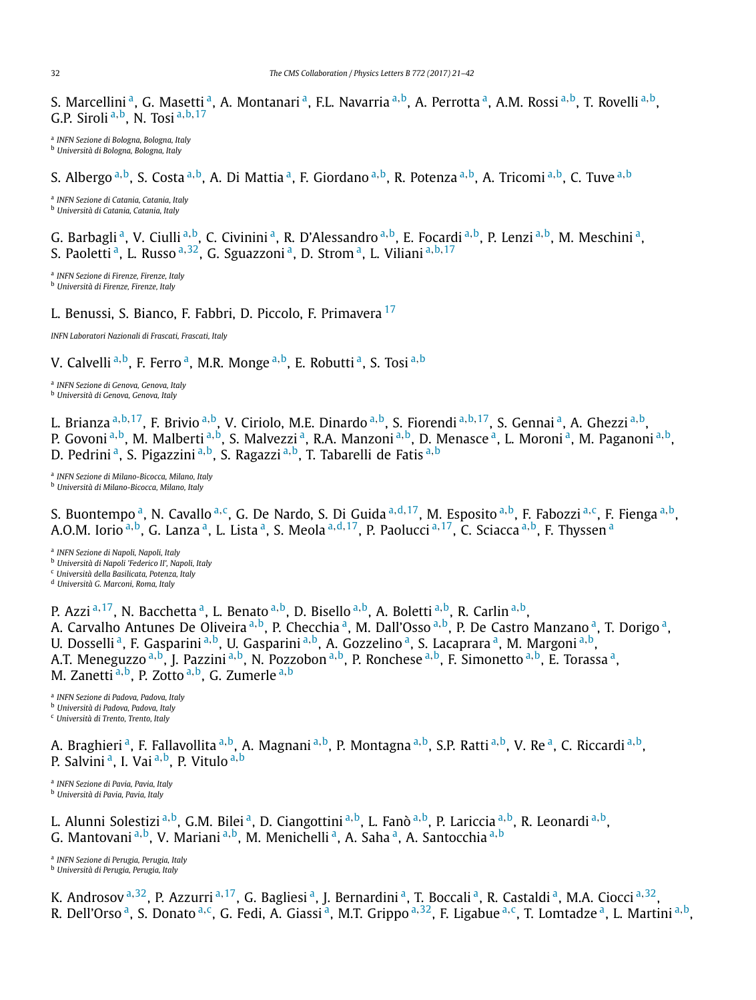<span id="page-11-0"></span>S. Marcellini<sup>a</sup>, G. Masetti<sup>a</sup>, A. Montanari<sup>a</sup>, F.L. Navarria <sup>a, b</sup>, A. Perrotta <sup>a</sup>, A.M. Rossi <sup>a, b</sup>, T. Rovelli <sup>a, b</sup>, G.P. Siroli <sup>a</sup>*,*b, N. Tosi <sup>a</sup>*,*b*,*[17](#page-20-0)

<sup>a</sup> *INFN Sezione di Bologna, Bologna, Italy* <sup>b</sup> *Università di Bologna, Bologna, Italy*

S. Albergo <sup>a</sup>*,*b, S. Costa <sup>a</sup>*,*b, A. Di Mattia a, F. Giordano <sup>a</sup>*,*b, R. Potenza <sup>a</sup>*,*b, A. Tricomi <sup>a</sup>*,*b, C. Tuve <sup>a</sup>*,*<sup>b</sup>

<sup>a</sup> *INFN Sezione di Catania, Catania, Italy* <sup>b</sup> *Università di Catania, Catania, Italy*

G. Barbagli <sup>a</sup>, V. Ciulli <sup>a,b</sup>, C. Civinini <sup>a</sup>, R. D'Alessandro <sup>a,b</sup>, E. Focardi <sup>a,b</sup>, P. Lenzi <sup>a,b</sup>, M. Meschini <sup>a</sup>, S. Paoletti a, L. Russo <sup>a</sup>*,*[32](#page-20-0), G. Sguazzoni a, D. Strom a, L. Viliani <sup>a</sup>*,*b*,*[17](#page-20-0)

<sup>a</sup> *INFN Sezione di Firenze, Firenze, Italy*

<sup>b</sup> *Università di Firenze, Firenze, Italy*

L. Benussi, S. Bianco, F. Fabbri, D. Piccolo, F. Primavera [17](#page-20-0)

*INFN Laboratori Nazionali di Frascati, Frascati, Italy*

V. Calvelli <sup>a</sup>*,*b, F. Ferro a, M.R. Monge <sup>a</sup>*,*b, E. Robutti a, S. Tosi <sup>a</sup>*,*<sup>b</sup>

<sup>a</sup> *INFN Sezione di Genova, Genova, Italy* <sup>b</sup> *Università di Genova, Genova, Italy*

L. Brianza <sup>a</sup>*,*b*,*[17,](#page-20-0) F. Brivio <sup>a</sup>*,*b, V. Ciriolo, M.E. Dinardo <sup>a</sup>*,*b, S. Fiorendi <sup>a</sup>*,*b*,*[17](#page-20-0), S. Gennai a, A. Ghezzi <sup>a</sup>*,*b, P. Govoni <sup>a</sup>*,*b, M. Malberti <sup>a</sup>*,*b, S. Malvezzi a, R.A. Manzoni <sup>a</sup>*,*b, D. Menasce a, L. Moroni a, M. Paganoni <sup>a</sup>*,*b, D. Pedrini a, S. Pigazzini <sup>a</sup>*,*b, S. Ragazzi <sup>a</sup>*,*b, T. Tabarelli de Fatis <sup>a</sup>*,*<sup>b</sup>

<sup>a</sup> *INFN Sezione di Milano-Bicocca, Milano, Italy* <sup>b</sup> *Università di Milano-Bicocca, Milano, Italy*

S. Buontempo a, N. Cavallo <sup>a</sup>*,*c, G. De Nardo, S. Di Guida <sup>a</sup>*,*d*,*[17,](#page-20-0) M. Esposito <sup>a</sup>*,*b, F. Fabozzi <sup>a</sup>*,*c, F. Fienga <sup>a</sup>*,*b, A.O.M. Iorio <sup>a</sup>*,*b, G. Lanza a, L. Lista a, S. Meola <sup>a</sup>*,*d*,*[17,](#page-20-0) P. Paolucci <sup>a</sup>*,*[17,](#page-20-0) C. Sciacca <sup>a</sup>*,*b, F. Thyssen <sup>a</sup>

<sup>a</sup> *INFN Sezione di Napoli, Napoli, Italy*

<sup>b</sup> *Università di Napoli 'Federico II', Napoli, Italy*

<sup>c</sup> *Università della Basilicata, Potenza, Italy*

<sup>d</sup> *Università G. Marconi, Roma, Italy*

P. Azzi <sup>a</sup>*,*[17,](#page-20-0) N. Bacchetta a, L. Benato <sup>a</sup>*,*b, D. Bisello <sup>a</sup>*,*b, A. Boletti <sup>a</sup>*,*b, R. Carlin <sup>a</sup>*,*b, A. Carvalho Antunes De Oliveira a,b, P. Checchia <sup>a</sup>, M. Dall'Osso a,b, P. De Castro Manzano <sup>a</sup>, T. Dorigo <sup>a</sup>, U. Dosselli<sup>a</sup>, F. Gasparini<sup>a,b</sup>, U. Gasparini<sup>a,b</sup>, A. Gozzelino<sup>a</sup>, S. Lacaprara<sup>a</sup>, M. Margoni<sup>a,b</sup>, A.T. Meneguzzo <sup>a</sup>*,*b, J. Pazzini <sup>a</sup>*,*b, N. Pozzobon <sup>a</sup>*,*b, P. Ronchese <sup>a</sup>*,*b, F. Simonetto <sup>a</sup>*,*b, E. Torassa a, M. Zanetti <sup>a</sup>*,*b, P. Zotto <sup>a</sup>*,*b, G. Zumerle <sup>a</sup>*,*<sup>b</sup>

<sup>a</sup> *INFN Sezione di Padova, Padova, Italy*

<sup>b</sup> *Università di Padova, Padova, Italy*

<sup>c</sup> *Università di Trento, Trento, Italy*

A. Braghieri<sup>a</sup>, F. Fallavollita a,b, A. Magnani a,b, P. Montagna a,b, S.P. Ratti a,b, V. Re<sup>a</sup>, C. Riccardi a,b, P. Salvini a, I. Vai <sup>a</sup>*,*b, P. Vitulo <sup>a</sup>*,*<sup>b</sup>

<sup>a</sup> *INFN Sezione di Pavia, Pavia, Italy* <sup>b</sup> *Università di Pavia, Pavia, Italy*

L. Alunni Solestizi <sup>a</sup>*,*b, G.M. Bilei a, D. Ciangottini <sup>a</sup>*,*b, L. Fanò <sup>a</sup>*,*b, P. Lariccia <sup>a</sup>*,*b, R. Leonardi <sup>a</sup>*,*b, G. Mantovani <sup>a</sup>*,*b, V. Mariani <sup>a</sup>*,*b, M. Menichelli a, A. Saha a, A. Santocchia <sup>a</sup>*,*<sup>b</sup>

<sup>a</sup> *INFN Sezione di Perugia, Perugia, Italy* <sup>b</sup> *Università di Perugia, Perugia, Italy*

K. Androsov<sup>[a](#page-12-0),32</sup>, P. Azzurri<sup>a,[17](#page-20-0)</sup>, G. Bagliesi<sup>a</sup>, J. Bernardini<sup>a</sup>, T. Boccali<sup>a</sup>, R. Castaldi<sup>a</sup>, M.A. Ciocci<sup>[a,](#page-12-0)32</sup>, R. Dell'Orso [a,](#page-12-0) S. Donato [a](#page-12-0)*,*[c,](#page-12-0) G. Fedi, A. Giassi [a,](#page-12-0) M.T. Grippo [a](#page-12-0)*,*[32,](#page-20-0) F. Ligabue [a](#page-12-0)*,*[c,](#page-12-0) T. Lomtadze [a,](#page-12-0) L. Martini [a](#page-12-0)*,*[b,](#page-12-0)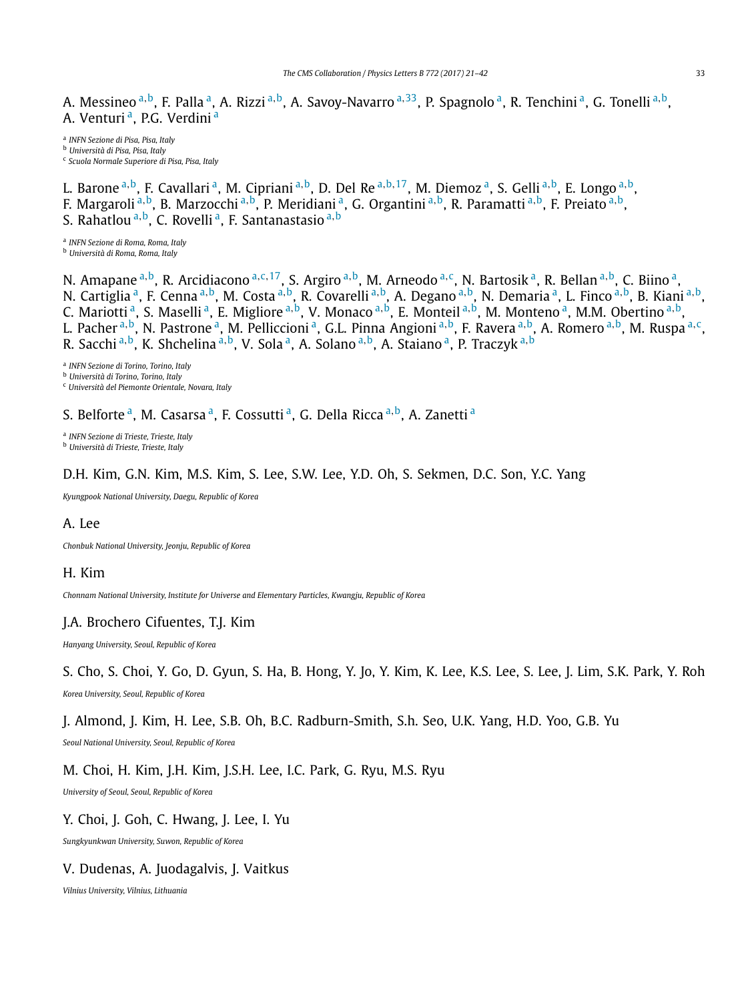<span id="page-12-0"></span>A. Messineo <sup>a</sup>*,*b, F. Palla a, A. Rizzi <sup>a</sup>*,*b, A. Savoy-Navarro <sup>a</sup>*,*[33,](#page-20-0) P. Spagnolo a, R. Tenchini a, G. Tonelli <sup>a</sup>*,*b, A. Venturi<sup>a</sup>, P.G. Verdini<sup>a</sup>

<sup>a</sup> *INFN Sezione di Pisa, Pisa, Italy* <sup>b</sup> *Università di Pisa, Pisa, Italy* <sup>c</sup> *Scuola Normale Superiore di Pisa, Pisa, Italy*

L. Barone a,b, F. Cavallari <sup>a</sup>, M. Cipriani <sup>a,b</sup>, D. Del Re a,b, [17,](#page-20-0) M. Diemoz <sup>a</sup>, S. Gelli <sup>a,b</sup>, E. Longo <sup>a,b</sup>, F. Margaroli <sup>a</sup>*,*b, B. Marzocchi <sup>a</sup>*,*b, P. Meridiani a, G. Organtini <sup>a</sup>*,*b, R. Paramatti <sup>a</sup>*,*b, F. Preiato <sup>a</sup>*,*b, S. Rahatlou <sup>a</sup>*,*b, C. Rovelli a, F. Santanastasio <sup>a</sup>*,*<sup>b</sup>

<sup>a</sup> *INFN Sezione di Roma, Roma, Italy* <sup>b</sup> *Università di Roma, Roma, Italy*

N. Amapane <sup>a</sup>*,*b, R. Arcidiacono <sup>a</sup>*,*c*,*[17,](#page-20-0) S. Argiro <sup>a</sup>*,*b, M. Arneodo <sup>a</sup>*,*c, N. Bartosik a, R. Bellan <sup>a</sup>*,*b, C. Biino a, N. Cartiglia a, F. Cenna <sup>a</sup>*,*b, M. Costa <sup>a</sup>*,*b, R. Covarelli <sup>a</sup>*,*b, A. Degano <sup>a</sup>*,*b, N. Demaria a, L. Finco <sup>a</sup>*,*b, B. Kiani <sup>a</sup>*,*b, C. Mariotti a, S. Maselli a, E. Migliore <sup>a</sup>*,*b, V. Monaco <sup>a</sup>*,*b, E. Monteil <sup>a</sup>*,*b, M. Monteno a, M.M. Obertino <sup>a</sup>*,*b, L. Pacher <sup>a</sup>*,*b, N. Pastrone a, M. Pelliccioni a, G.L. Pinna Angioni <sup>a</sup>*,*b, F. Ravera <sup>a</sup>*,*b, A. Romero <sup>a</sup>*,*b, M. Ruspa <sup>a</sup>*,*c, R. Sacchi <sup>a</sup>*,*b, K. Shchelina <sup>a</sup>*,*b, V. Sola a, A. Solano <sup>a</sup>*,*b, A. Staiano a, P. Traczyk <sup>a</sup>*,*<sup>b</sup>

<sup>a</sup> *INFN Sezione di Torino, Torino, Italy*

<sup>b</sup> *Università di Torino, Torino, Italy*

<sup>c</sup> *Università del Piemonte Orientale, Novara, Italy*

S. Belforte<sup>a</sup>, M. Casarsa<sup>a</sup>, F. Cossutti<sup>a</sup>, G. Della Ricca<sup>a, b</sup>, A. Zanetti<sup>a</sup>

<sup>a</sup> *INFN Sezione di Trieste, Trieste, Italy*

<sup>b</sup> *Università di Trieste, Trieste, Italy*

# D.H. Kim, G.N. Kim, M.S. Kim, S. Lee, S.W. Lee, Y.D. Oh, S. Sekmen, D.C. Son, Y.C. Yang

*Kyungpook National University, Daegu, Republic of Korea*

#### A. Lee

*Chonbuk National University, Jeonju, Republic of Korea*

# H. Kim

*Chonnam National University, Institute for Universe and Elementary Particles, Kwangju, Republic of Korea*

# J.A. Brochero Cifuentes, T.J. Kim

*Hanyang University, Seoul, Republic of Korea*

S. Cho, S. Choi, Y. Go, D. Gyun, S. Ha, B. Hong, Y. Jo, Y. Kim, K. Lee, K.S. Lee, S. Lee, J. Lim, S.K. Park, Y. Roh

*Korea University, Seoul, Republic of Korea*

J. Almond, J. Kim, H. Lee, S.B. Oh, B.C. Radburn-Smith, S.h. Seo, U.K. Yang, H.D. Yoo, G.B. Yu

*Seoul National University, Seoul, Republic of Korea*

# M. Choi, H. Kim, J.H. Kim, J.S.H. Lee, I.C. Park, G. Ryu, M.S. Ryu

*University of Seoul, Seoul, Republic of Korea*

# Y. Choi, J. Goh, C. Hwang, J. Lee, I. Yu

*Sungkyunkwan University, Suwon, Republic of Korea*

# V. Dudenas, A. Juodagalvis, J. Vaitkus

*Vilnius University, Vilnius, Lithuania*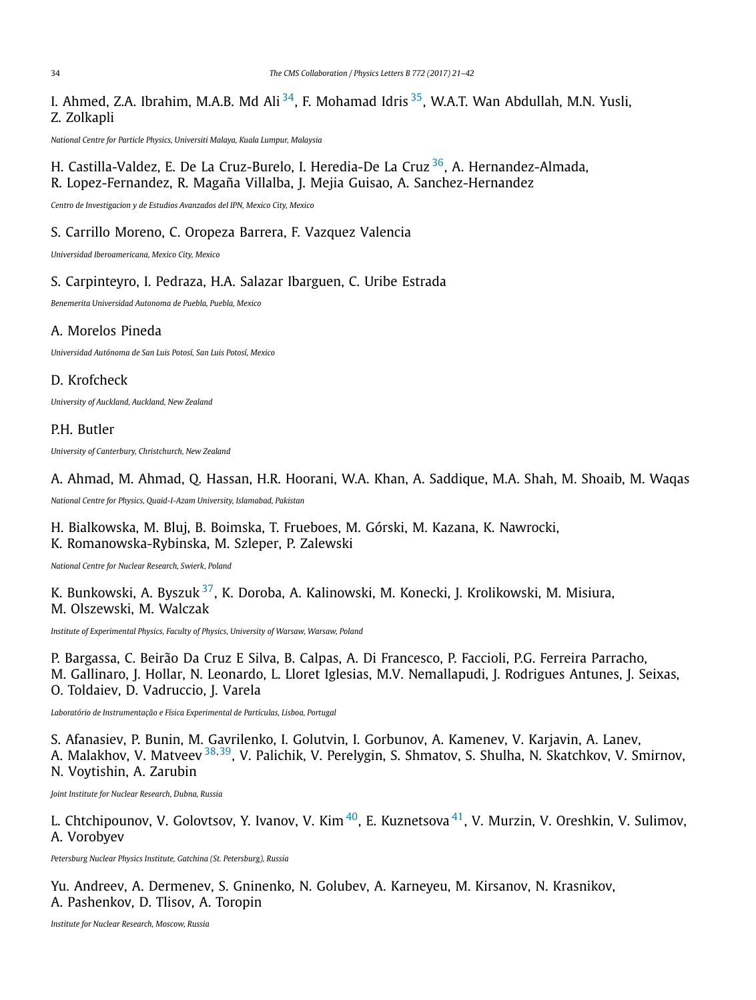I. Ahmed, Z.A. Ibrahim, M.A.B. Md Ali  $34$ , F. Mohamad Idris  $35$ , W.A.T. Wan Abdullah, M.N. Yusli, Z. Zolkapli

*National Centre for Particle Physics, Universiti Malaya, Kuala Lumpur, Malaysia*

# H. Castilla-Valdez, E. De La Cruz-Burelo, I. Heredia-De La Cruz<sup>36</sup>, A. Hernandez-Almada, R. Lopez-Fernandez, R. Magaña Villalba, J. Mejia Guisao, A. Sanchez-Hernandez

*Centro de Investigacion y de Estudios Avanzados del IPN, Mexico City, Mexico*

## S. Carrillo Moreno, C. Oropeza Barrera, F. Vazquez Valencia

*Universidad Iberoamericana, Mexico City, Mexico*

#### S. Carpinteyro, I. Pedraza, H.A. Salazar Ibarguen, C. Uribe Estrada

*Benemerita Universidad Autonoma de Puebla, Puebla, Mexico*

# A. Morelos Pineda

*Universidad Autónoma de San Luis Potosí, San Luis Potosí, Mexico*

## D. Krofcheck

*University of Auckland, Auckland, New Zealand*

# P.H. Butler

*University of Canterbury, Christchurch, New Zealand*

A. Ahmad, M. Ahmad, Q. Hassan, H.R. Hoorani, W.A. Khan, A. Saddique, M.A. Shah, M. Shoaib, M. Waqas

*National Centre for Physics, Quaid-I-Azam University, Islamabad, Pakistan*

H. Bialkowska, M. Bluj, B. Boimska, T. Frueboes, M. Górski, M. Kazana, K. Nawrocki, K. Romanowska-Rybinska, M. Szleper, P. Zalewski

*National Centre for Nuclear Research, Swierk, Poland*

K. Bunkowski, A. Byszuk [37](#page-20-0), K. Doroba, A. Kalinowski, M. Konecki, J. Krolikowski, M. Misiura, M. Olszewski, M. Walczak

*Institute of Experimental Physics, Faculty of Physics, University of Warsaw, Warsaw, Poland*

P. Bargassa, C. Beirão Da Cruz E Silva, B. Calpas, A. Di Francesco, P. Faccioli, P.G. Ferreira Parracho, M. Gallinaro, J. Hollar, N. Leonardo, L. Lloret Iglesias, M.V. Nemallapudi, J. Rodrigues Antunes, J. Seixas, O. Toldaiev, D. Vadruccio, J. Varela

*Laboratório de Instrumentação e Física Experimental de Partículas, Lisboa, Portugal*

S. Afanasiev, P. Bunin, M. Gavrilenko, I. Golutvin, I. Gorbunov, A. Kamenev, V. Karjavin, A. Lanev, A. Malakhov, V. Matveev [38](#page-20-0)*,*[39,](#page-20-0) V. Palichik, V. Perelygin, S. Shmatov, S. Shulha, N. Skatchkov, V. Smirnov, N. Voytishin, A. Zarubin

*Joint Institute for Nuclear Research, Dubna, Russia*

L. Chtchipounov, V. Golovtsov, Y. Ivanov, V. Kim<sup>40</sup>, E. Kuznetsova<sup>41</sup>, V. Murzin, V. Oreshkin, V. Sulimov, A. Vorobyev

*Petersburg Nuclear Physics Institute, Gatchina (St. Petersburg), Russia*

Yu. Andreev, A. Dermenev, S. Gninenko, N. Golubev, A. Karneyeu, M. Kirsanov, N. Krasnikov, A. Pashenkov, D. Tlisov, A. Toropin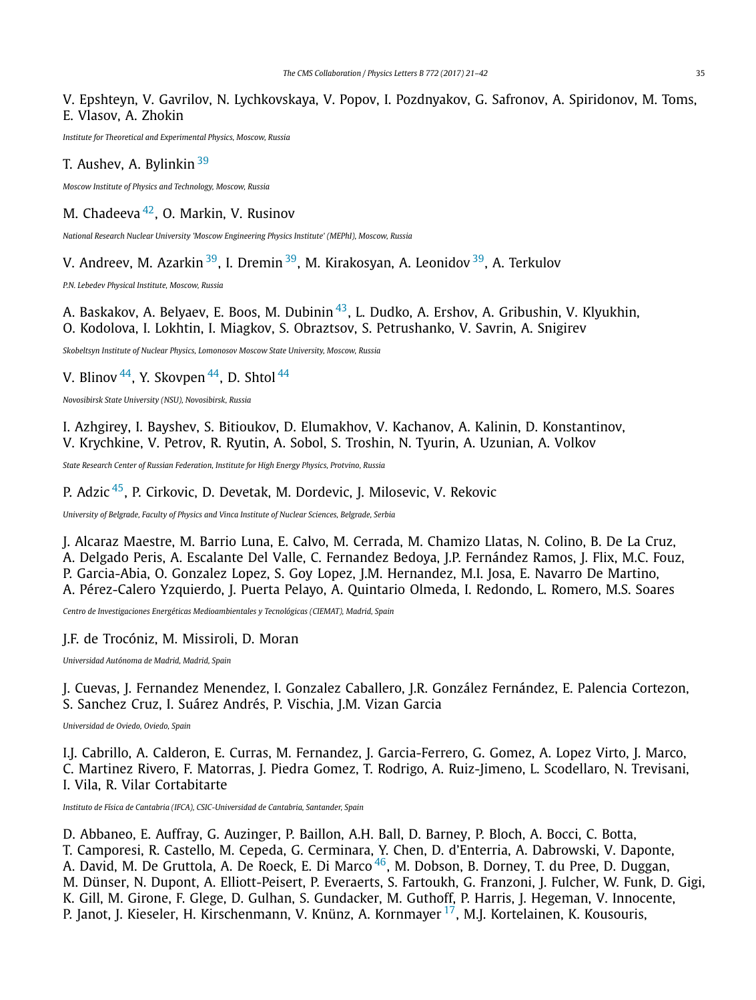V. Epshteyn, V. Gavrilov, N. Lychkovskaya, V. Popov, I. Pozdnyakov, G. Safronov, A. Spiridonov, M. Toms, E. Vlasov, A. Zhokin

*Institute for Theoretical and Experimental Physics, Moscow, Russia*

# T. Aushev, A. Bylinkin [39](#page-20-0)

*Moscow Institute of Physics and Technology, Moscow, Russia*

# M. Chadeeva [42,](#page-21-0) O. Markin, V. Rusinov

*National Research Nuclear University 'Moscow Engineering Physics Institute' (MEPhI), Moscow, Russia*

V. Andreev, M. Azarkin [39](#page-20-0), I. Dremin [39,](#page-20-0) M. Kirakosyan, A. Leonidov [39,](#page-20-0) A. Terkulov

*P.N. Lebedev Physical Institute, Moscow, Russia*

A. Baskakov, A. Belyaev, E. Boos, M. Dubinin [43,](#page-21-0) L. Dudko, A. Ershov, A. Gribushin, V. Klyukhin, O. Kodolova, I. Lokhtin, I. Miagkov, S. Obraztsov, S. Petrushanko, V. Savrin, A. Snigirev

*Skobeltsyn Institute of Nuclear Physics, Lomonosov Moscow State University, Moscow, Russia*

# V. Blinov<sup>[44](#page-21-0)</sup>, Y. Skovpen<sup>44</sup>, D. Shtol<sup>44</sup>

*Novosibirsk State University (NSU), Novosibirsk, Russia*

I. Azhgirey, I. Bayshev, S. Bitioukov, D. Elumakhov, V. Kachanov, A. Kalinin, D. Konstantinov, V. Krychkine, V. Petrov, R. Ryutin, A. Sobol, S. Troshin, N. Tyurin, A. Uzunian, A. Volkov

*State Research Center of Russian Federation, Institute for High Energy Physics, Protvino, Russia*

P. Adzic [45,](#page-21-0) P. Cirkovic, D. Devetak, M. Dordevic, J. Milosevic, V. Rekovic

*University of Belgrade, Faculty of Physics and Vinca Institute of Nuclear Sciences, Belgrade, Serbia*

J. Alcaraz Maestre, M. Barrio Luna, E. Calvo, M. Cerrada, M. Chamizo Llatas, N. Colino, B. De La Cruz, A. Delgado Peris, A. Escalante Del Valle, C. Fernandez Bedoya, J.P. Fernández Ramos, J. Flix, M.C. Fouz, P. Garcia-Abia, O. Gonzalez Lopez, S. Goy Lopez, J.M. Hernandez, M.I. Josa, E. Navarro De Martino, A. Pérez-Calero Yzquierdo, J. Puerta Pelayo, A. Quintario Olmeda, I. Redondo, L. Romero, M.S. Soares

*Centro de Investigaciones Energéticas Medioambientales y Tecnológicas (CIEMAT), Madrid, Spain*

#### J.F. de Trocóniz, M. Missiroli, D. Moran

*Universidad Autónoma de Madrid, Madrid, Spain*

J. Cuevas, J. Fernandez Menendez, I. Gonzalez Caballero, J.R. González Fernández, E. Palencia Cortezon, S. Sanchez Cruz, I. Suárez Andrés, P. Vischia, J.M. Vizan Garcia

*Universidad de Oviedo, Oviedo, Spain*

I.J. Cabrillo, A. Calderon, E. Curras, M. Fernandez, J. Garcia-Ferrero, G. Gomez, A. Lopez Virto, J. Marco, C. Martinez Rivero, F. Matorras, J. Piedra Gomez, T. Rodrigo, A. Ruiz-Jimeno, L. Scodellaro, N. Trevisani, I. Vila, R. Vilar Cortabitarte

*Instituto de Física de Cantabria (IFCA), CSIC-Universidad de Cantabria, Santander, Spain*

D. Abbaneo, E. Auffray, G. Auzinger, P. Baillon, A.H. Ball, D. Barney, P. Bloch, A. Bocci, C. Botta, T. Camporesi, R. Castello, M. Cepeda, G. Cerminara, Y. Chen, D. d'Enterria, A. Dabrowski, V. Daponte, A. David, M. De Gruttola, A. De Roeck, E. Di Marco <sup>46</sup>, M. Dobson, B. Dorney, T. du Pree, D. Duggan, M. Dünser, N. Dupont, A. Elliott-Peisert, P. Everaerts, S. Fartoukh, G. Franzoni, J. Fulcher, W. Funk, D. Gigi, K. Gill, M. Girone, F. Glege, D. Gulhan, S. Gundacker, M. Guthoff, P. Harris, J. Hegeman, V. Innocente, P. Janot, J. Kieseler, H. Kirschenmann, V. Knünz, A. Kornmayer<sup>17</sup>, M.J. Kortelainen, K. Kousouris,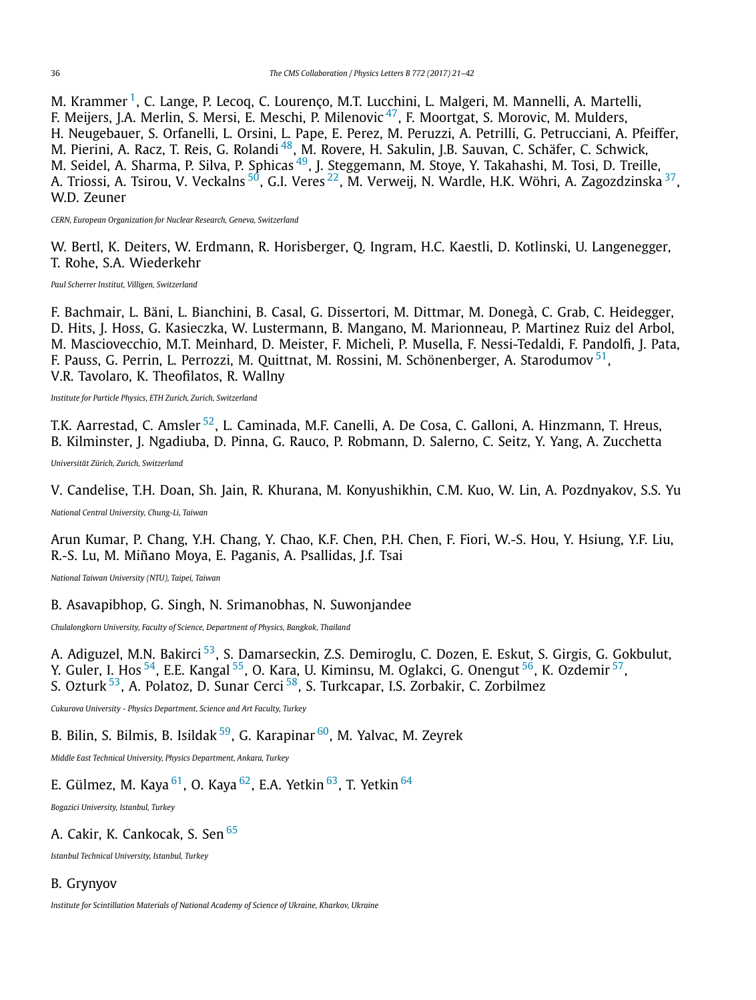M. Krammer<sup>1</sup>, C. Lange, P. Lecoq, C. Lourenco, M.T. Lucchini, L. Malgeri, M. Mannelli, A. Martelli, F. Meijers, J.A. Merlin, S. Mersi, E. Meschi, P. Milenovic [47](#page-21-0), F. Moortgat, S. Morovic, M. Mulders, H. Neugebauer, S. Orfanelli, L. Orsini, L. Pape, E. Perez, M. Peruzzi, A. Petrilli, G. Petrucciani, A. Pfeiffer, M. Pierini, A. Racz, T. Reis, G. Rolandi <sup>[48](#page-21-0)</sup>, M. Rovere, H. Sakulin, J.B. Sauvan, C. Schäfer, C. Schwick, M. Seidel, A. Sharma, P. Silva, P. Sphicas <sup>49</sup>, J. Steggemann, M. Stoye, Y. Takahashi, M. Tosi, D. Treille, A. Triossi, A. Tsirou, V. Veckalns <sup>[50](#page-21-0)</sup>, G.I. Veres <sup>22</sup>, M. Verweij, N. Wardle, H.K. Wöhri, A. Zagozdzinska <sup>37</sup>, W.D. Zeuner

*CERN, European Organization for Nuclear Research, Geneva, Switzerland*

W. Bertl, K. Deiters, W. Erdmann, R. Horisberger, Q. Ingram, H.C. Kaestli, D. Kotlinski, U. Langenegger, T. Rohe, S.A. Wiederkehr

*Paul Scherrer Institut, Villigen, Switzerland*

F. Bachmair, L. Bäni, L. Bianchini, B. Casal, G. Dissertori, M. Dittmar, M. Donegà, C. Grab, C. Heidegger, D. Hits, J. Hoss, G. Kasieczka, W. Lustermann, B. Mangano, M. Marionneau, P. Martinez Ruiz del Arbol, M. Masciovecchio, M.T. Meinhard, D. Meister, F. Micheli, P. Musella, F. Nessi-Tedaldi, F. Pandolfi, J. Pata, F. Pauss, G. Perrin, L. Perrozzi, M. Quittnat, M. Rossini, M. Schönenberger, A. Starodumov<sup>51</sup>. V.R. Tavolaro, K. Theofilatos, R. Wallny

*Institute for Particle Physics, ETH Zurich, Zurich, Switzerland*

T.K. Aarrestad, C. Amsler<sup>52</sup>, L. Caminada, M.F. Canelli, A. De Cosa, C. Galloni, A. Hinzmann, T. Hreus, B. Kilminster, J. Ngadiuba, D. Pinna, G. Rauco, P. Robmann, D. Salerno, C. Seitz, Y. Yang, A. Zucchetta

*Universität Zürich, Zurich, Switzerland*

V. Candelise, T.H. Doan, Sh. Jain, R. Khurana, M. Konyushikhin, C.M. Kuo, W. Lin, A. Pozdnyakov, S.S. Yu *National Central University, Chung-Li, Taiwan*

Arun Kumar, P. Chang, Y.H. Chang, Y. Chao, K.F. Chen, P.H. Chen, F. Fiori, W.-S. Hou, Y. Hsiung, Y.F. Liu, R.-S. Lu, M. Miñano Moya, E. Paganis, A. Psallidas, J.f. Tsai

*National Taiwan University (NTU), Taipei, Taiwan*

## B. Asavapibhop, G. Singh, N. Srimanobhas, N. Suwonjandee

*Chulalongkorn University, Faculty of Science, Department of Physics, Bangkok, Thailand*

A. Adiguzel, M.N. Bakirci<sup>53</sup>, S. Damarseckin, Z.S. Demiroglu, C. Dozen, E. Eskut, S. Girgis, G. Gokbulut, Y. Guler, I. Hos <sup>54</sup>, E.E. Kangal <sup>55</sup>, O. Kara, U. Kiminsu, M. Oglakci, G. Onengut <sup>56</sup>, K. Ozdemir <sup>57</sup>, S. Ozturk<sup>53</sup>, A. Polatoz, D. Sunar Cerci<sup>[58](#page-21-0)</sup>, S. Turkcapar, I.S. Zorbakir, C. Zorbilmez

*Cukurova University - Physics Department, Science and Art Faculty, Turkey*

B. Bilin, S. Bilmis, B. Isildak  $59$ , G. Karapinar  $60$ , M. Yalvac, M. Zeyrek

*Middle East Technical University, Physics Department, Ankara, Turkey*

E. Gülmez, M. Kaya<sup>[61](#page-21-0)</sup>, O. Kaya<sup>62</sup>, E.A. Yetkin<sup>63</sup>, T. Yetkin<sup>[64](#page-21-0)</sup>

*Bogazici University, Istanbul, Turkey*

A. Cakir, K. Cankocak, S. Sen <sup>[65](#page-21-0)</sup>

*Istanbul Technical University, Istanbul, Turkey*

# B. Grynyov

*Institute for Scintillation Materials of National Academy of Science of Ukraine, Kharkov, Ukraine*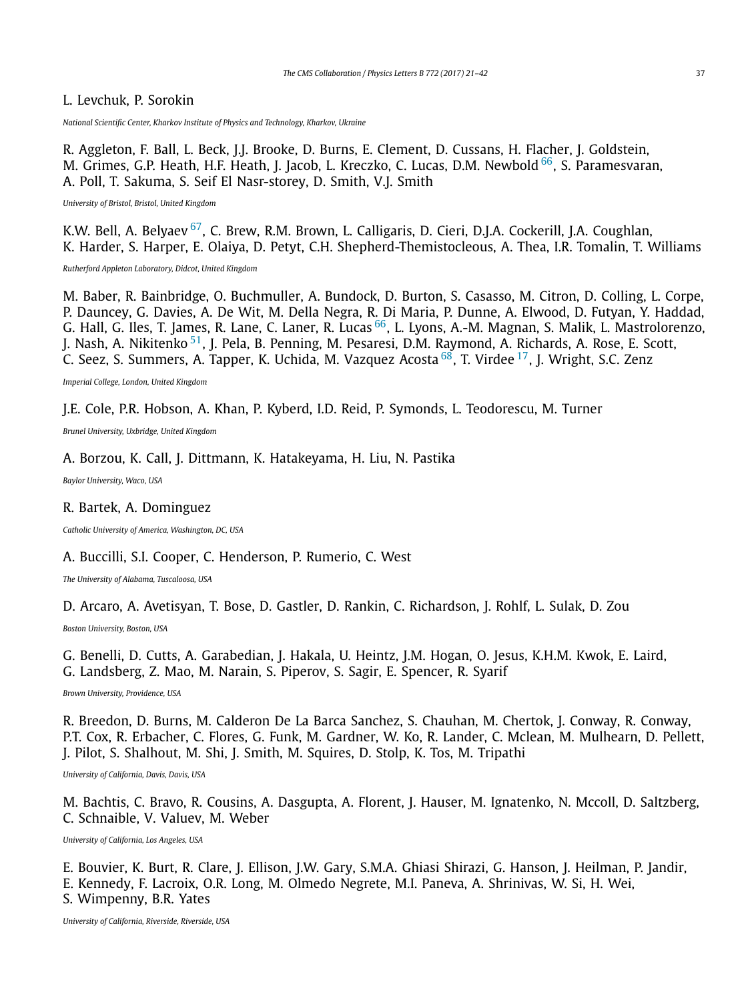# L. Levchuk, P. Sorokin

*National Scientific Center, Kharkov Institute of Physics and Technology, Kharkov, Ukraine*

R. Aggleton, F. Ball, L. Beck, J.J. Brooke, D. Burns, E. Clement, D. Cussans, H. Flacher, J. Goldstein, M. Grimes, G.P. Heath, H.F. Heath, J. Jacob, L. Kreczko, C. Lucas, D.M. Newbold <sup>66</sup>, S. Paramesvaran, A. Poll, T. Sakuma, S. Seif El Nasr-storey, D. Smith, V.J. Smith

*University of Bristol, Bristol, United Kingdom*

K.W. Bell, A. Belyaev <sup>67</sup>, C. Brew, R.M. Brown, L. Calligaris, D. Cieri, D.J.A. Cockerill, J.A. Coughlan, K. Harder, S. Harper, E. Olaiya, D. Petyt, C.H. Shepherd-Themistocleous, A. Thea, I.R. Tomalin, T. Williams

*Rutherford Appleton Laboratory, Didcot, United Kingdom*

M. Baber, R. Bainbridge, O. Buchmuller, A. Bundock, D. Burton, S. Casasso, M. Citron, D. Colling, L. Corpe, P. Dauncey, G. Davies, A. De Wit, M. Della Negra, R. Di Maria, P. Dunne, A. Elwood, D. Futyan, Y. Haddad, G. Hall, G. Iles, T. James, R. Lane, C. Laner, R. Lucas [66,](#page-21-0) L. Lyons, A.-M. Magnan, S. Malik, L. Mastrolorenzo, J. Nash, A. Nikitenko [51,](#page-21-0) J. Pela, B. Penning, M. Pesaresi, D.M. Raymond, A. Richards, A. Rose, E. Scott, C. Seez, S. Summers, A. Tapper, K. Uchida, M. Vazquez Acosta [68,](#page-21-0) T. Virdee [17,](#page-20-0) J. Wright, S.C. Zenz

*Imperial College, London, United Kingdom*

J.E. Cole, P.R. Hobson, A. Khan, P. Kyberd, I.D. Reid, P. Symonds, L. Teodorescu, M. Turner

*Brunel University, Uxbridge, United Kingdom*

A. Borzou, K. Call, J. Dittmann, K. Hatakeyama, H. Liu, N. Pastika

*Baylor University, Waco, USA*

## R. Bartek, A. Dominguez

*Catholic University of America, Washington, DC, USA*

A. Buccilli, S.I. Cooper, C. Henderson, P. Rumerio, C. West

*The University of Alabama, Tuscaloosa, USA*

D. Arcaro, A. Avetisyan, T. Bose, D. Gastler, D. Rankin, C. Richardson, J. Rohlf, L. Sulak, D. Zou

*Boston University, Boston, USA*

G. Benelli, D. Cutts, A. Garabedian, J. Hakala, U. Heintz, J.M. Hogan, O. Jesus, K.H.M. Kwok, E. Laird, G. Landsberg, Z. Mao, M. Narain, S. Piperov, S. Sagir, E. Spencer, R. Syarif

*Brown University, Providence, USA*

R. Breedon, D. Burns, M. Calderon De La Barca Sanchez, S. Chauhan, M. Chertok, J. Conway, R. Conway, P.T. Cox, R. Erbacher, C. Flores, G. Funk, M. Gardner, W. Ko, R. Lander, C. Mclean, M. Mulhearn, D. Pellett, J. Pilot, S. Shalhout, M. Shi, J. Smith, M. Squires, D. Stolp, K. Tos, M. Tripathi

*University of California, Davis, Davis, USA*

M. Bachtis, C. Bravo, R. Cousins, A. Dasgupta, A. Florent, J. Hauser, M. Ignatenko, N. Mccoll, D. Saltzberg, C. Schnaible, V. Valuev, M. Weber

*University of California, Los Angeles, USA*

E. Bouvier, K. Burt, R. Clare, J. Ellison, J.W. Gary, S.M.A. Ghiasi Shirazi, G. Hanson, J. Heilman, P. Jandir, E. Kennedy, F. Lacroix, O.R. Long, M. Olmedo Negrete, M.I. Paneva, A. Shrinivas, W. Si, H. Wei, S. Wimpenny, B.R. Yates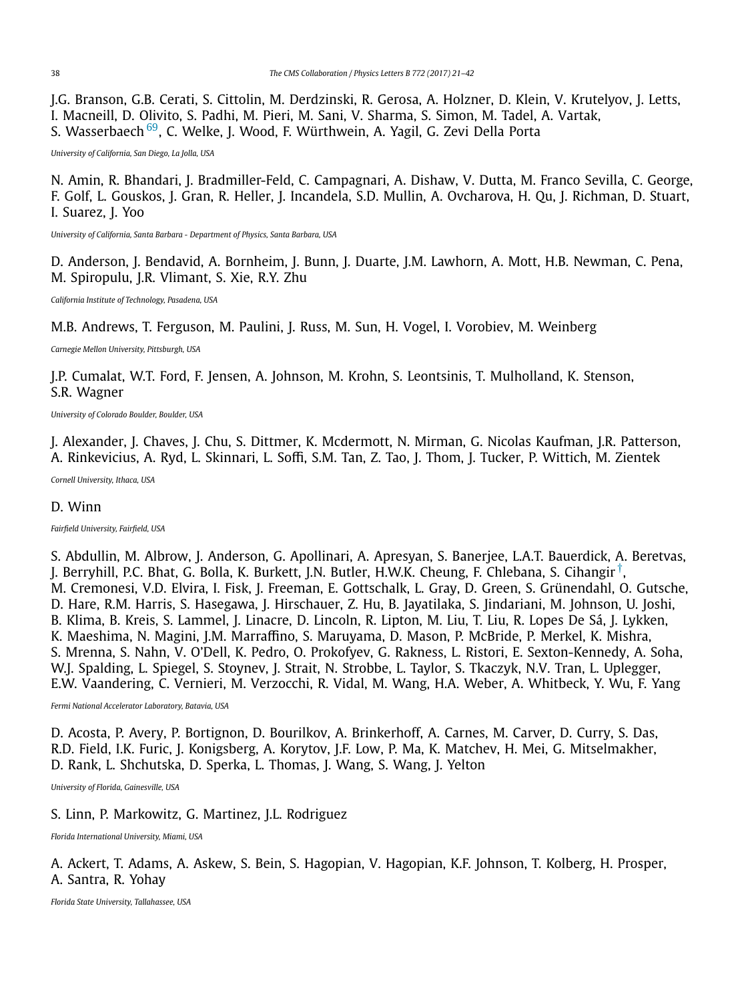J.G. Branson, G.B. Cerati, S. Cittolin, M. Derdzinski, R. Gerosa, A. Holzner, D. Klein, V. Krutelyov, J. Letts, I. Macneill, D. Olivito, S. Padhi, M. Pieri, M. Sani, V. Sharma, S. Simon, M. Tadel, A. Vartak, S. Wasserbaech [69](#page-21-0), C. Welke, J. Wood, F. Würthwein, A. Yagil, G. Zevi Della Porta

*University of California, San Diego, La Jolla, USA*

N. Amin, R. Bhandari, J. Bradmiller-Feld, C. Campagnari, A. Dishaw, V. Dutta, M. Franco Sevilla, C. George, F. Golf, L. Gouskos, J. Gran, R. Heller, J. Incandela, S.D. Mullin, A. Ovcharova, H. Qu, J. Richman, D. Stuart, I. Suarez, J. Yoo

*University of California, Santa Barbara - Department of Physics, Santa Barbara, USA*

D. Anderson, J. Bendavid, A. Bornheim, J. Bunn, J. Duarte, J.M. Lawhorn, A. Mott, H.B. Newman, C. Pena, M. Spiropulu, J.R. Vlimant, S. Xie, R.Y. Zhu

*California Institute of Technology, Pasadena, USA*

M.B. Andrews, T. Ferguson, M. Paulini, J. Russ, M. Sun, H. Vogel, I. Vorobiev, M. Weinberg

*Carnegie Mellon University, Pittsburgh, USA*

J.P. Cumalat, W.T. Ford, F. Jensen, A. Johnson, M. Krohn, S. Leontsinis, T. Mulholland, K. Stenson, S.R. Wagner

*University of Colorado Boulder, Boulder, USA*

J. Alexander, J. Chaves, J. Chu, S. Dittmer, K. Mcdermott, N. Mirman, G. Nicolas Kaufman, J.R. Patterson, A. Rinkevicius, A. Ryd, L. Skinnari, L. Soffi, S.M. Tan, Z. Tao, J. Thom, J. Tucker, P. Wittich, M. Zientek

*Cornell University, Ithaca, USA*

#### D. Winn

*Fairfield University, Fairfield, USA*

S. Abdullin, M. Albrow, J. Anderson, G. Apollinari, A. Apresyan, S. Banerjee, L.A.T. Bauerdick, A. Beretvas, J. Berryhill, P.C. Bhat, G. Bolla, K. Burkett, J.N. Butler, H.W.K. Cheung, F. Chlebana, S. Cihangir [†](#page-20-0), M. Cremonesi, V.D. Elvira, I. Fisk, J. Freeman, E. Gottschalk, L. Gray, D. Green, S. Grünendahl, O. Gutsche, D. Hare, R.M. Harris, S. Hasegawa, J. Hirschauer, Z. Hu, B. Jayatilaka, S. Jindariani, M. Johnson, U. Joshi, B. Klima, B. Kreis, S. Lammel, J. Linacre, D. Lincoln, R. Lipton, M. Liu, T. Liu, R. Lopes De Sá, J. Lykken, K. Maeshima, N. Magini, J.M. Marraffino, S. Maruyama, D. Mason, P. McBride, P. Merkel, K. Mishra, S. Mrenna, S. Nahn, V. O'Dell, K. Pedro, O. Prokofyev, G. Rakness, L. Ristori, E. Sexton-Kennedy, A. Soha, W.J. Spalding, L. Spiegel, S. Stoynev, J. Strait, N. Strobbe, L. Taylor, S. Tkaczyk, N.V. Tran, L. Uplegger, E.W. Vaandering, C. Vernieri, M. Verzocchi, R. Vidal, M. Wang, H.A. Weber, A. Whitbeck, Y. Wu, F. Yang

*Fermi National Accelerator Laboratory, Batavia, USA*

D. Acosta, P. Avery, P. Bortignon, D. Bourilkov, A. Brinkerhoff, A. Carnes, M. Carver, D. Curry, S. Das, R.D. Field, I.K. Furic, J. Konigsberg, A. Korytov, J.F. Low, P. Ma, K. Matchev, H. Mei, G. Mitselmakher, D. Rank, L. Shchutska, D. Sperka, L. Thomas, J. Wang, S. Wang, J. Yelton

*University of Florida, Gainesville, USA*

S. Linn, P. Markowitz, G. Martinez, J.L. Rodriguez

*Florida International University, Miami, USA*

A. Ackert, T. Adams, A. Askew, S. Bein, S. Hagopian, V. Hagopian, K.F. Johnson, T. Kolberg, H. Prosper, A. Santra, R. Yohay

*Florida State University, Tallahassee, USA*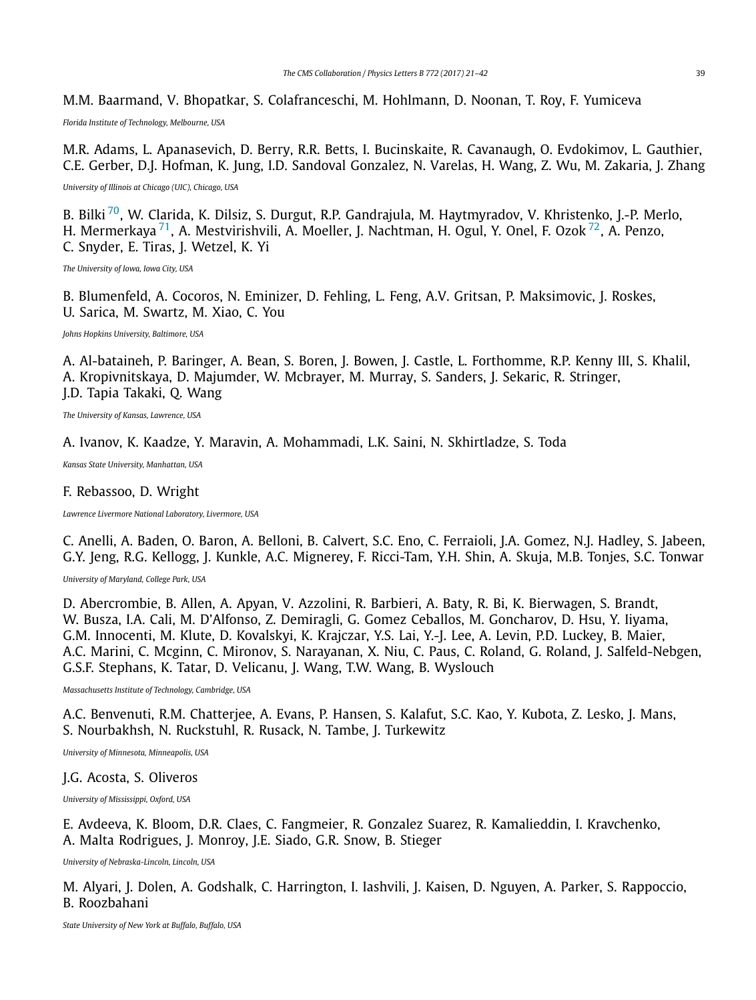# M.M. Baarmand, V. Bhopatkar, S. Colafranceschi, M. Hohlmann, D. Noonan, T. Roy, F. Yumiceva

*Florida Institute of Technology, Melbourne, USA*

M.R. Adams, L. Apanasevich, D. Berry, R.R. Betts, I. Bucinskaite, R. Cavanaugh, O. Evdokimov, L. Gauthier, C.E. Gerber, D.J. Hofman, K. Jung, I.D. Sandoval Gonzalez, N. Varelas, H. Wang, Z. Wu, M. Zakaria, J. Zhang

*University of Illinois at Chicago (UIC), Chicago, USA*

B. Bilki<sup>70</sup>, W. Clarida, K. Dilsiz, S. Durgut, R.P. Gandrajula, M. Haytmyradov, V. Khristenko, J.-P. Merlo, H. Mermerkaya [71,](#page-21-0) A. Mestvirishvili, A. Moeller, J. Nachtman, H. Ogul, Y. Onel, F. Ozok [72,](#page-21-0) A. Penzo, C. Snyder, E. Tiras, J. Wetzel, K. Yi

*The University of Iowa, Iowa City, USA*

B. Blumenfeld, A. Cocoros, N. Eminizer, D. Fehling, L. Feng, A.V. Gritsan, P. Maksimovic, J. Roskes, U. Sarica, M. Swartz, M. Xiao, C. You

*Johns Hopkins University, Baltimore, USA*

A. Al-bataineh, P. Baringer, A. Bean, S. Boren, J. Bowen, J. Castle, L. Forthomme, R.P. Kenny III, S. Khalil, A. Kropivnitskaya, D. Majumder, W. Mcbrayer, M. Murray, S. Sanders, J. Sekaric, R. Stringer, J.D. Tapia Takaki, Q. Wang

*The University of Kansas, Lawrence, USA*

A. Ivanov, K. Kaadze, Y. Maravin, A. Mohammadi, L.K. Saini, N. Skhirtladze, S. Toda

*Kansas State University, Manhattan, USA*

## F. Rebassoo, D. Wright

*Lawrence Livermore National Laboratory, Livermore, USA*

C. Anelli, A. Baden, O. Baron, A. Belloni, B. Calvert, S.C. Eno, C. Ferraioli, J.A. Gomez, N.J. Hadley, S. Jabeen, G.Y. Jeng, R.G. Kellogg, J. Kunkle, A.C. Mignerey, F. Ricci-Tam, Y.H. Shin, A. Skuja, M.B. Tonjes, S.C. Tonwar

*University of Maryland, College Park, USA*

D. Abercrombie, B. Allen, A. Apyan, V. Azzolini, R. Barbieri, A. Baty, R. Bi, K. Bierwagen, S. Brandt, W. Busza, I.A. Cali, M. D'Alfonso, Z. Demiragli, G. Gomez Ceballos, M. Goncharov, D. Hsu, Y. Iiyama, G.M. Innocenti, M. Klute, D. Kovalskyi, K. Krajczar, Y.S. Lai, Y.-J. Lee, A. Levin, P.D. Luckey, B. Maier, A.C. Marini, C. Mcginn, C. Mironov, S. Narayanan, X. Niu, C. Paus, C. Roland, G. Roland, J. Salfeld-Nebgen, G.S.F. Stephans, K. Tatar, D. Velicanu, J. Wang, T.W. Wang, B. Wyslouch

*Massachusetts Institute of Technology, Cambridge, USA*

A.C. Benvenuti, R.M. Chatterjee, A. Evans, P. Hansen, S. Kalafut, S.C. Kao, Y. Kubota, Z. Lesko, J. Mans, S. Nourbakhsh, N. Ruckstuhl, R. Rusack, N. Tambe, J. Turkewitz

*University of Minnesota, Minneapolis, USA*

J.G. Acosta, S. Oliveros

*University of Mississippi, Oxford, USA*

E. Avdeeva, K. Bloom, D.R. Claes, C. Fangmeier, R. Gonzalez Suarez, R. Kamalieddin, I. Kravchenko, A. Malta Rodrigues, J. Monroy, J.E. Siado, G.R. Snow, B. Stieger

*University of Nebraska-Lincoln, Lincoln, USA*

M. Alyari, J. Dolen, A. Godshalk, C. Harrington, I. Iashvili, J. Kaisen, D. Nguyen, A. Parker, S. Rappoccio, B. Roozbahani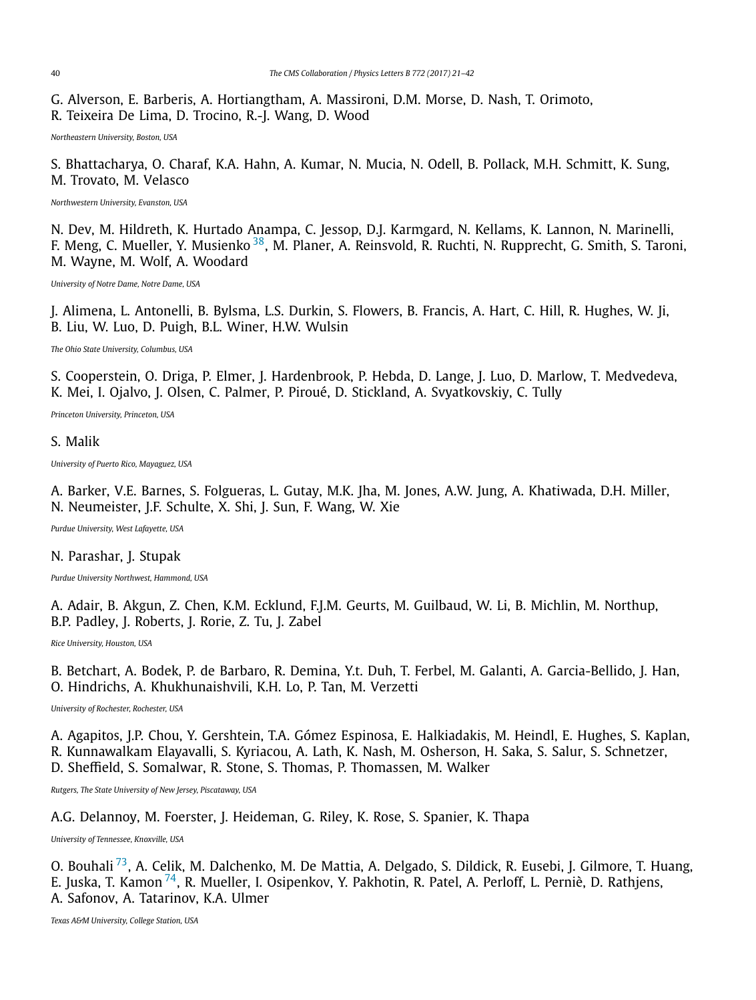G. Alverson, E. Barberis, A. Hortiangtham, A. Massironi, D.M. Morse, D. Nash, T. Orimoto, R. Teixeira De Lima, D. Trocino, R.-J. Wang, D. Wood

*Northeastern University, Boston, USA*

S. Bhattacharya, O. Charaf, K.A. Hahn, A. Kumar, N. Mucia, N. Odell, B. Pollack, M.H. Schmitt, K. Sung, M. Trovato, M. Velasco

*Northwestern University, Evanston, USA*

N. Dev, M. Hildreth, K. Hurtado Anampa, C. Jessop, D.J. Karmgard, N. Kellams, K. Lannon, N. Marinelli, F. Meng, C. Mueller, Y. Musienko [38,](#page-20-0) M. Planer, A. Reinsvold, R. Ruchti, N. Rupprecht, G. Smith, S. Taroni, M. Wayne, M. Wolf, A. Woodard

*University of Notre Dame, Notre Dame, USA*

J. Alimena, L. Antonelli, B. Bylsma, L.S. Durkin, S. Flowers, B. Francis, A. Hart, C. Hill, R. Hughes, W. Ji, B. Liu, W. Luo, D. Puigh, B.L. Winer, H.W. Wulsin

*The Ohio State University, Columbus, USA*

S. Cooperstein, O. Driga, P. Elmer, J. Hardenbrook, P. Hebda, D. Lange, J. Luo, D. Marlow, T. Medvedeva, K. Mei, I. Ojalvo, J. Olsen, C. Palmer, P. Piroué, D. Stickland, A. Svyatkovskiy, C. Tully

*Princeton University, Princeton, USA*

## S. Malik

*University of Puerto Rico, Mayaguez, USA*

A. Barker, V.E. Barnes, S. Folgueras, L. Gutay, M.K. Jha, M. Jones, A.W. Jung, A. Khatiwada, D.H. Miller, N. Neumeister, J.F. Schulte, X. Shi, J. Sun, F. Wang, W. Xie

*Purdue University, West Lafayette, USA*

N. Parashar, J. Stupak

*Purdue University Northwest, Hammond, USA*

A. Adair, B. Akgun, Z. Chen, K.M. Ecklund, F.J.M. Geurts, M. Guilbaud, W. Li, B. Michlin, M. Northup, B.P. Padley, J. Roberts, J. Rorie, Z. Tu, J. Zabel

*Rice University, Houston, USA*

B. Betchart, A. Bodek, P. de Barbaro, R. Demina, Y.t. Duh, T. Ferbel, M. Galanti, A. Garcia-Bellido, J. Han, O. Hindrichs, A. Khukhunaishvili, K.H. Lo, P. Tan, M. Verzetti

*University of Rochester, Rochester, USA*

A. Agapitos, J.P. Chou, Y. Gershtein, T.A. Gómez Espinosa, E. Halkiadakis, M. Heindl, E. Hughes, S. Kaplan, R. Kunnawalkam Elayavalli, S. Kyriacou, A. Lath, K. Nash, M. Osherson, H. Saka, S. Salur, S. Schnetzer, D. Sheffield, S. Somalwar, R. Stone, S. Thomas, P. Thomassen, M. Walker

*Rutgers, The State University of New Jersey, Piscataway, USA*

A.G. Delannoy, M. Foerster, J. Heideman, G. Riley, K. Rose, S. Spanier, K. Thapa

*University of Tennessee, Knoxville, USA*

O. Bouhali [73,](#page-21-0) A. Celik, M. Dalchenko, M. De Mattia, A. Delgado, S. Dildick, R. Eusebi, J. Gilmore, T. Huang, E. Juska, T. Kamon [74,](#page-21-0) R. Mueller, I. Osipenkov, Y. Pakhotin, R. Patel, A. Perloff, L. Perniè, D. Rathjens, A. Safonov, A. Tatarinov, K.A. Ulmer

*Texas A&M University, College Station, USA*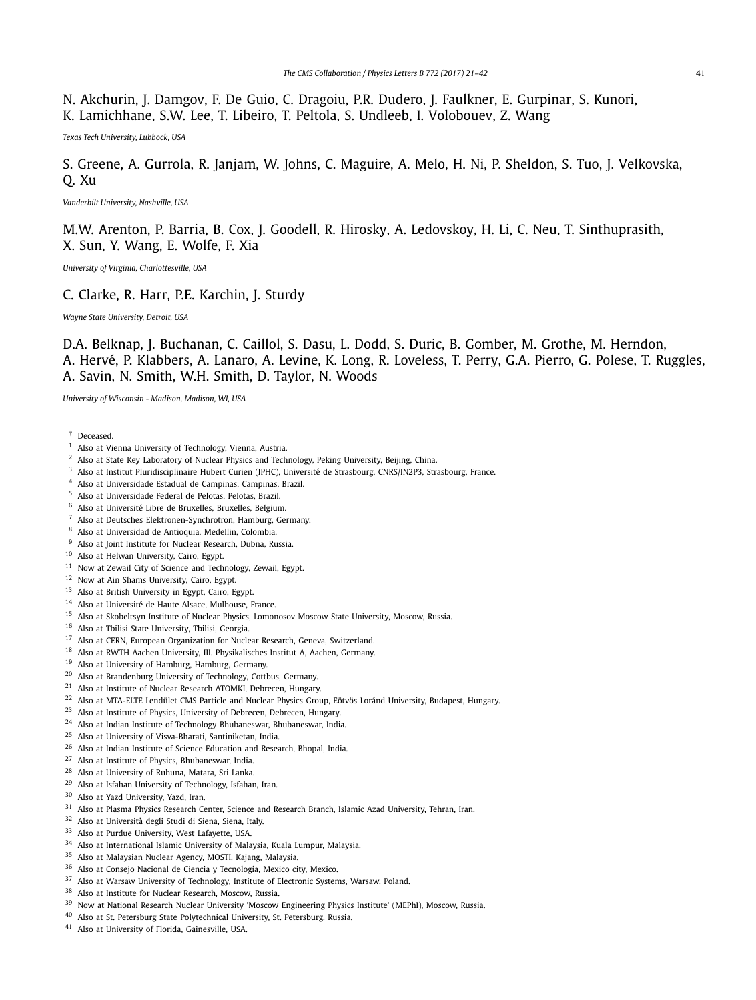<span id="page-20-0"></span>N. Akchurin, J. Damgov, F. De Guio, C. Dragoiu, P.R. Dudero, J. Faulkner, E. Gurpinar, S. Kunori, K. Lamichhane, S.W. Lee, T. Libeiro, T. Peltola, S. Undleeb, I. Volobouev, Z. Wang

*Texas Tech University, Lubbock, USA*

S. Greene, A. Gurrola, R. Janjam, W. Johns, C. Maguire, A. Melo, H. Ni, P. Sheldon, S. Tuo, J. Velkovska, Q. Xu

*Vanderbilt University, Nashville, USA*

M.W. Arenton, P. Barria, B. Cox, J. Goodell, R. Hirosky, A. Ledovskoy, H. Li, C. Neu, T. Sinthuprasith, X. Sun, Y. Wang, E. Wolfe, F. Xia

*University of Virginia, Charlottesville, USA*

## C. Clarke, R. Harr, P.E. Karchin, J. Sturdy

*Wayne State University, Detroit, USA*

D.A. Belknap, J. Buchanan, C. Caillol, S. Dasu, L. Dodd, S. Duric, B. Gomber, M. Grothe, M. Herndon, A. Hervé, P. Klabbers, A. Lanaro, A. Levine, K. Long, R. Loveless, T. Perry, G.A. Pierro, G. Polese, T. Ruggles, A. Savin, N. Smith, W.H. Smith, D. Taylor, N. Woods

*University of Wisconsin - Madison, Madison, WI, USA*

- † Deceased.
- <sup>1</sup> Also at Vienna University of Technology, Vienna, Austria.
- <sup>2</sup> Also at State Key Laboratory of Nuclear Physics and Technology, Peking University, Beijing, China.
- <sup>3</sup> Also at Institut Pluridisciplinaire Hubert Curien (IPHC), Université de Strasbourg, CNRS/IN2P3, Strasbourg, France.
- <sup>4</sup> Also at Universidade Estadual de Campinas, Campinas, Brazil.
- <sup>5</sup> Also at Universidade Federal de Pelotas, Pelotas, Brazil.
- <sup>6</sup> Also at Université Libre de Bruxelles, Bruxelles, Belgium.
- <sup>7</sup> Also at Deutsches Elektronen-Synchrotron, Hamburg, Germany.
- <sup>8</sup> Also at Universidad de Antioquia, Medellin, Colombia.
- <sup>9</sup> Also at Joint Institute for Nuclear Research, Dubna, Russia.
- <sup>10</sup> Also at Helwan University, Cairo, Egypt.
- <sup>11</sup> Now at Zewail City of Science and Technology, Zewail, Egypt.
- <sup>12</sup> Now at Ain Shams University, Cairo, Egypt.
- <sup>13</sup> Also at British University in Egypt, Cairo, Egypt.
- <sup>14</sup> Also at Université de Haute Alsace, Mulhouse, France.
- <sup>15</sup> Also at Skobeltsyn Institute of Nuclear Physics, Lomonosov Moscow State University, Moscow, Russia.
- <sup>16</sup> Also at Tbilisi State University, Tbilisi, Georgia.
- $^{17}\,$  Also at CERN, European Organization for Nuclear Research, Geneva, Switzerland.
- <sup>18</sup> Also at RWTH Aachen University, III. Physikalisches Institut A, Aachen, Germany.
- <sup>19</sup> Also at University of Hamburg, Hamburg, Germany.
- <sup>20</sup> Also at Brandenburg University of Technology, Cottbus, Germany.
- <sup>21</sup> Also at Institute of Nuclear Research ATOMKI, Debrecen, Hungary.
- <sup>22</sup> Also at MTA-ELTE Lendület CMS Particle and Nuclear Physics Group, Eötvös Loránd University, Budapest, Hungary.
- <sup>23</sup> Also at Institute of Physics, University of Debrecen, Debrecen, Hungary.
- $^{24}\,$  Also at Indian Institute of Technology Bhubaneswar, Bhubaneswar, India.
- <sup>25</sup> Also at University of Visva-Bharati, Santiniketan, India.
- <sup>26</sup> Also at Indian Institute of Science Education and Research, Bhopal, India.
- <sup>27</sup> Also at Institute of Physics, Bhubaneswar, India.
- <sup>28</sup> Also at University of Ruhuna, Matara, Sri Lanka.
- <sup>29</sup> Also at Isfahan University of Technology, Isfahan, Iran.
- <sup>30</sup> Also at Yazd University, Yazd, Iran.
- <sup>31</sup> Also at Plasma Physics Research Center, Science and Research Branch, Islamic Azad University, Tehran, Iran.
- <sup>32</sup> Also at Università degli Studi di Siena, Siena, Italy.
- <sup>33</sup> Also at Purdue University, West Lafayette, USA.
- <sup>34</sup> Also at International Islamic University of Malaysia, Kuala Lumpur, Malaysia.
- <sup>35</sup> Also at Malaysian Nuclear Agency, MOSTI, Kajang, Malaysia.
- <sup>36</sup> Also at Consejo Nacional de Ciencia y Tecnología, Mexico city, Mexico.
- <sup>37</sup> Also at Warsaw University of Technology, Institute of Electronic Systems, Warsaw, Poland.
- <sup>38</sup> Also at Institute for Nuclear Research, Moscow, Russia.
- <sup>39</sup> Now at National Research Nuclear University 'Moscow Engineering Physics Institute' (MEPhI), Moscow, Russia.
- 40 Also at St. Petersburg State Polytechnical University, St. Petersburg, Russia.
- <sup>41</sup> Also at University of Florida, Gainesville, USA.